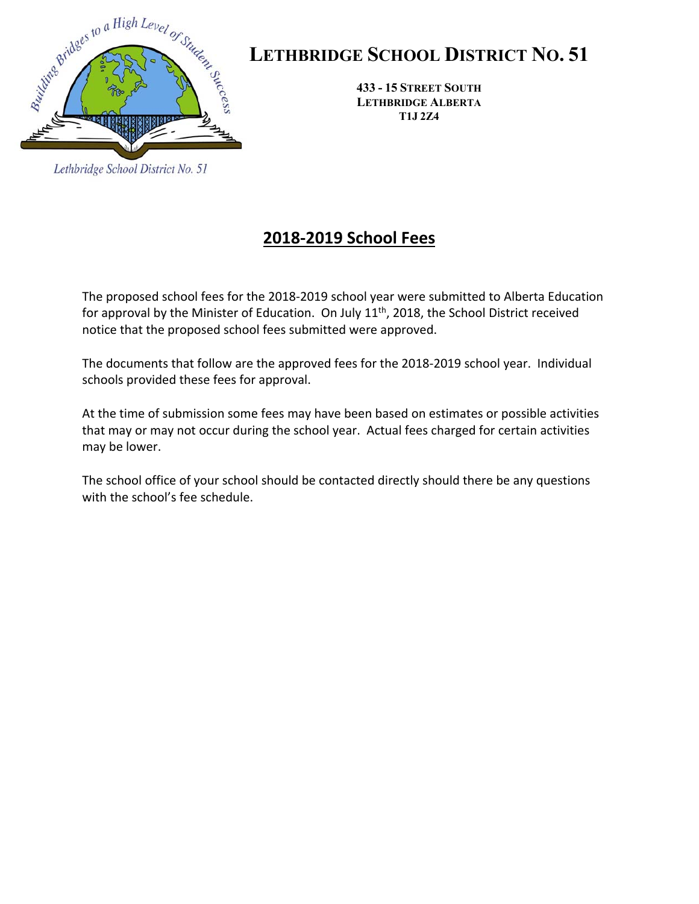

Lethbridge School District No. 51

# **LETHBRIDGE SCHOOL DISTRICT NO. 51**

**433 - 15 STREET SOUTH LETHBRIDGE ALBERTA T1J 2Z4** 

## **2018‐2019 School Fees**

The proposed school fees for the 2018‐2019 school year were submitted to Alberta Education for approval by the Minister of Education. On July 11<sup>th</sup>, 2018, the School District received notice that the proposed school fees submitted were approved.

The documents that follow are the approved fees for the 2018‐2019 school year. Individual schools provided these fees for approval.

At the time of submission some fees may have been based on estimates or possible activities that may or may not occur during the school year. Actual fees charged for certain activities may be lower.

The school office of your school should be contacted directly should there be any questions with the school's fee schedule.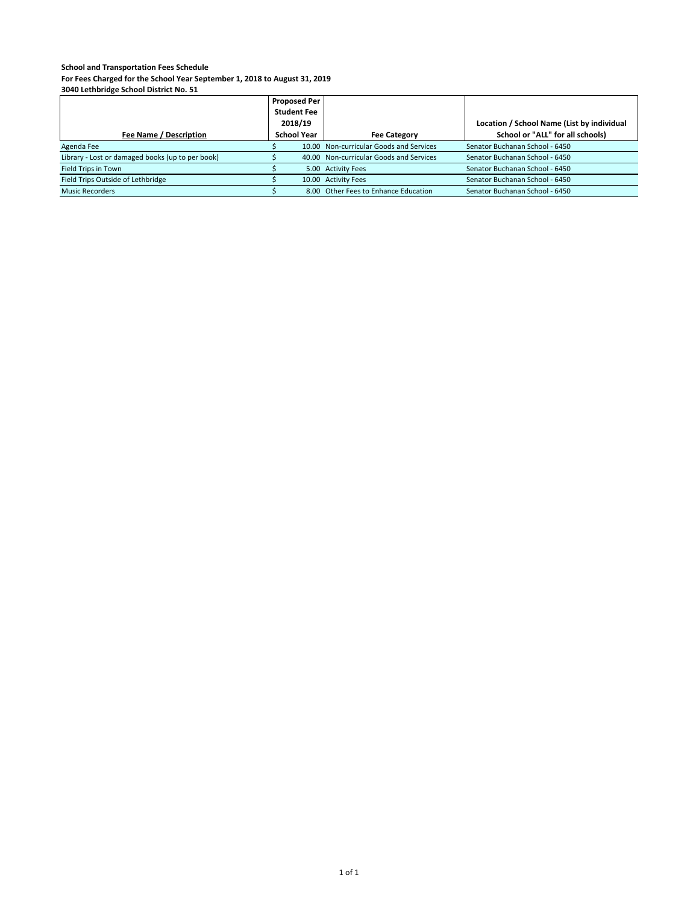**For Fees Charged for the School Year September 1, 2018 to August 31, 2019**

|                                                  | <b>Proposed Per</b><br><b>Student Fee</b><br>2018/19 |  |                                         | Location / School Name (List by individual |
|--------------------------------------------------|------------------------------------------------------|--|-----------------------------------------|--------------------------------------------|
| Fee Name / Description                           | <b>School Year</b>                                   |  | <b>Fee Category</b>                     | School or "ALL" for all schools)           |
| Agenda Fee                                       |                                                      |  | 10.00 Non-curricular Goods and Services | Senator Buchanan School - 6450             |
| Library - Lost or damaged books (up to per book) |                                                      |  | 40.00 Non-curricular Goods and Services | Senator Buchanan School - 6450             |
| Field Trips in Town                              |                                                      |  | 5.00 Activity Fees                      | Senator Buchanan School - 6450             |
| Field Trips Outside of Lethbridge                |                                                      |  | 10.00 Activity Fees                     | Senator Buchanan School - 6450             |
| <b>Music Recorders</b>                           |                                                      |  | 8.00 Other Fees to Enhance Education    | Senator Buchanan School - 6450             |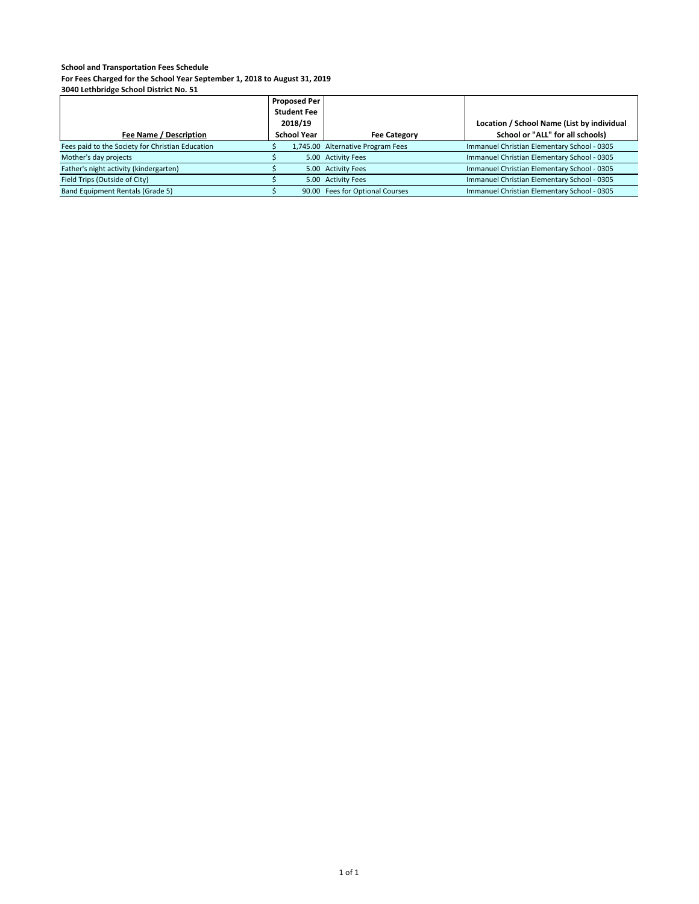**For Fees Charged for the School Year September 1, 2018 to August 31, 2019**

|                                                  | <b>Proposed Per</b><br><b>Student Fee</b><br>2018/19 |                                   | Location / School Name (List by individual  |
|--------------------------------------------------|------------------------------------------------------|-----------------------------------|---------------------------------------------|
| Fee Name / Description                           | <b>School Year</b>                                   | <b>Fee Category</b>               | School or "ALL" for all schools)            |
| Fees paid to the Society for Christian Education |                                                      | 1,745.00 Alternative Program Fees | Immanuel Christian Elementary School - 0305 |
| Mother's day projects                            |                                                      | 5.00 Activity Fees                | Immanuel Christian Elementary School - 0305 |
| Father's night activity (kindergarten)           |                                                      | 5.00 Activity Fees                | Immanuel Christian Elementary School - 0305 |
| Field Trips (Outside of City)                    |                                                      | 5.00 Activity Fees                | Immanuel Christian Elementary School - 0305 |
| Band Equipment Rentals (Grade 5)                 |                                                      | 90.00 Fees for Optional Courses   | Immanuel Christian Elementary School - 0305 |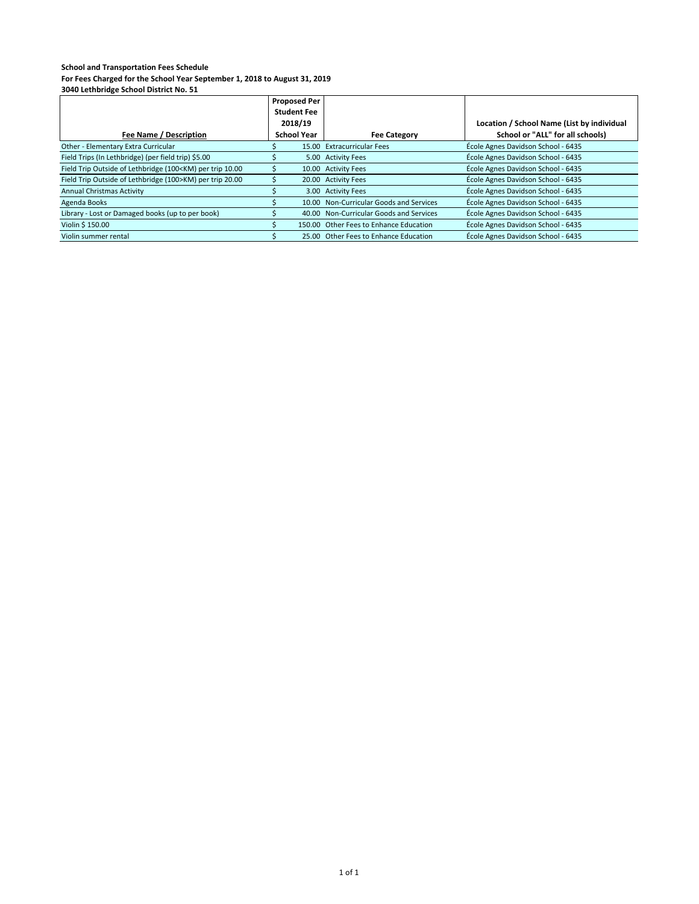**For Fees Charged for the School Year September 1, 2018 to August 31, 2019**

|                                                                                                                                                                  | <b>Proposed Per</b> |                                         |                                            |
|------------------------------------------------------------------------------------------------------------------------------------------------------------------|---------------------|-----------------------------------------|--------------------------------------------|
|                                                                                                                                                                  | <b>Student Fee</b>  |                                         |                                            |
|                                                                                                                                                                  | 2018/19             |                                         | Location / School Name (List by individual |
| Fee Name / Description                                                                                                                                           | <b>School Year</b>  | <b>Fee Category</b>                     | School or "ALL" for all schools)           |
| Other - Elementary Extra Curricular                                                                                                                              |                     | 15.00 Extracurricular Fees              | École Agnes Davidson School - 6435         |
| Field Trips (In Lethbridge) (per field trip) \$5.00                                                                                                              |                     | 5.00 Activity Fees                      | École Agnes Davidson School - 6435         |
| Field Trip Outside of Lethbridge (100 <km) 10.00<="" per="" td="" trip=""><td></td><td>10.00 Activity Fees</td><td>École Agnes Davidson School - 6435</td></km)> |                     | 10.00 Activity Fees                     | École Agnes Davidson School - 6435         |
| Field Trip Outside of Lethbridge (100>KM) per trip 20.00                                                                                                         |                     | 20.00 Activity Fees                     | École Agnes Davidson School - 6435         |
| <b>Annual Christmas Activity</b>                                                                                                                                 |                     | 3.00 Activity Fees                      | École Agnes Davidson School - 6435         |
| Agenda Books                                                                                                                                                     |                     | 10.00 Non-Curricular Goods and Services | École Agnes Davidson School - 6435         |
| Library - Lost or Damaged books (up to per book)                                                                                                                 |                     | 40.00 Non-Curricular Goods and Services | École Agnes Davidson School - 6435         |
| Violin \$ 150.00                                                                                                                                                 |                     | 150.00 Other Fees to Enhance Education  | École Agnes Davidson School - 6435         |
| Violin summer rental                                                                                                                                             |                     | 25.00 Other Fees to Enhance Education   | École Agnes Davidson School - 6435         |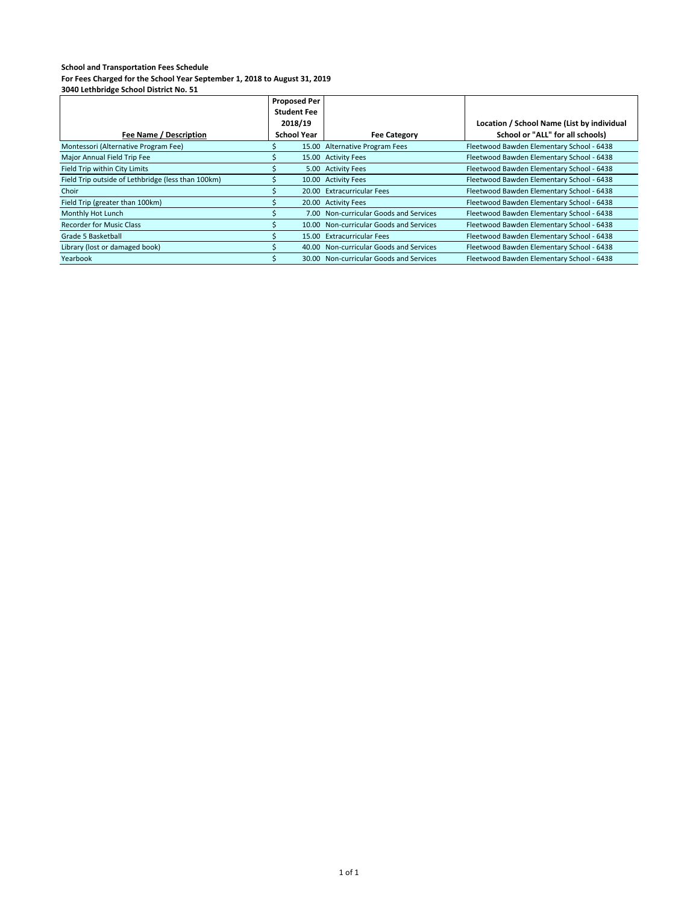|                                                    | <b>Proposed Per</b> |  |                                         |                                            |
|----------------------------------------------------|---------------------|--|-----------------------------------------|--------------------------------------------|
|                                                    | <b>Student Fee</b>  |  |                                         |                                            |
|                                                    | 2018/19             |  |                                         | Location / School Name (List by individual |
| Fee Name / Description                             | <b>School Year</b>  |  | <b>Fee Category</b>                     | School or "ALL" for all schools)           |
| Montessori (Alternative Program Fee)               |                     |  | 15.00 Alternative Program Fees          | Fleetwood Bawden Elementary School - 6438  |
| Major Annual Field Trip Fee                        |                     |  | 15.00 Activity Fees                     | Fleetwood Bawden Elementary School - 6438  |
| Field Trip within City Limits                      |                     |  | 5.00 Activity Fees                      | Fleetwood Bawden Elementary School - 6438  |
| Field Trip outside of Lethbridge (less than 100km) |                     |  | 10.00 Activity Fees                     | Fleetwood Bawden Elementary School - 6438  |
| Choir                                              |                     |  | 20.00 Extracurricular Fees              | Fleetwood Bawden Elementary School - 6438  |
| Field Trip (greater than 100km)                    |                     |  | 20.00 Activity Fees                     | Fleetwood Bawden Elementary School - 6438  |
| Monthly Hot Lunch                                  |                     |  | 7.00 Non-curricular Goods and Services  | Fleetwood Bawden Elementary School - 6438  |
| <b>Recorder for Music Class</b>                    |                     |  | 10.00 Non-curricular Goods and Services | Fleetwood Bawden Elementary School - 6438  |
| Grade 5 Basketball                                 |                     |  | 15.00 Extracurricular Fees              | Fleetwood Bawden Elementary School - 6438  |
| Library (lost or damaged book)                     |                     |  | 40.00 Non-curricular Goods and Services | Fleetwood Bawden Elementary School - 6438  |
| Yearbook                                           |                     |  | 30.00 Non-curricular Goods and Services | Fleetwood Bawden Elementary School - 6438  |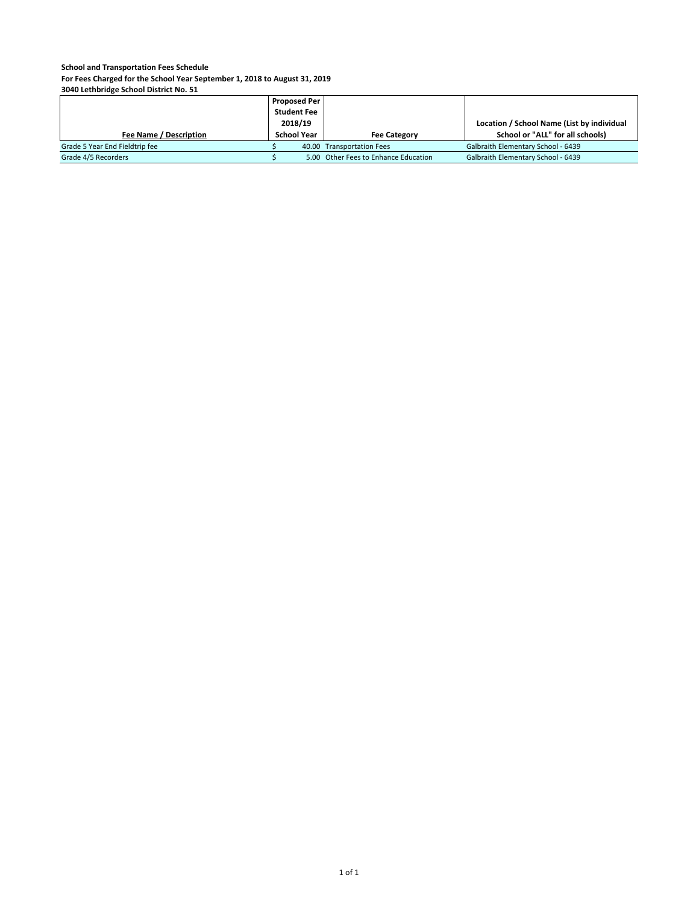**For Fees Charged for the School Year September 1, 2018 to August 31, 2019**

|                                | <b>Proposed Per</b> |                                      |                                            |
|--------------------------------|---------------------|--------------------------------------|--------------------------------------------|
|                                | <b>Student Fee</b>  |                                      |                                            |
|                                | 2018/19             |                                      | Location / School Name (List by individual |
| Fee Name / Description         | <b>School Year</b>  | <b>Fee Category</b>                  | School or "ALL" for all schools)           |
| Grade 5 Year End Fieldtrip fee |                     | 40.00 Transportation Fees            | Galbraith Elementary School - 6439         |
| Grade 4/5 Recorders            |                     | 5.00 Other Fees to Enhance Education | Galbraith Elementary School - 6439         |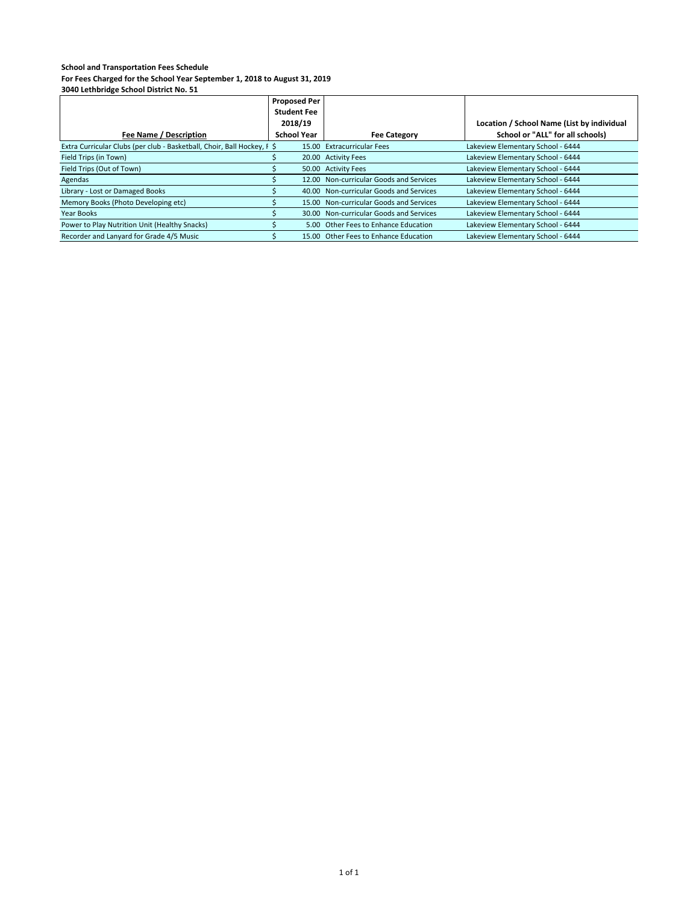|                                                                         | <b>Proposed Per</b> |                                         |                                            |
|-------------------------------------------------------------------------|---------------------|-----------------------------------------|--------------------------------------------|
|                                                                         | <b>Student Fee</b>  |                                         |                                            |
|                                                                         | 2018/19             |                                         | Location / School Name (List by individual |
| Fee Name / Description                                                  | <b>School Year</b>  | <b>Fee Category</b>                     | School or "ALL" for all schools)           |
| Extra Curricular Clubs (per club - Basketball, Choir, Ball Hockey, F \$ |                     | 15.00 Extracurricular Fees              | Lakeview Elementary School - 6444          |
| Field Trips (in Town)                                                   |                     | 20.00 Activity Fees                     | Lakeview Elementary School - 6444          |
| Field Trips (Out of Town)                                               |                     | 50.00 Activity Fees                     | Lakeview Elementary School - 6444          |
| Agendas                                                                 |                     | 12.00 Non-curricular Goods and Services | Lakeview Elementary School - 6444          |
| Library - Lost or Damaged Books                                         |                     | 40.00 Non-curricular Goods and Services | Lakeview Elementary School - 6444          |
| Memory Books (Photo Developing etc)                                     |                     | 15.00 Non-curricular Goods and Services | Lakeview Elementary School - 6444          |
| Year Books                                                              |                     | 30.00 Non-curricular Goods and Services | Lakeview Elementary School - 6444          |
| Power to Play Nutrition Unit (Healthy Snacks)                           |                     | 5.00 Other Fees to Enhance Education    | Lakeview Elementary School - 6444          |
| Recorder and Lanyard for Grade 4/5 Music                                |                     | 15.00 Other Fees to Enhance Education   | Lakeview Elementary School - 6444          |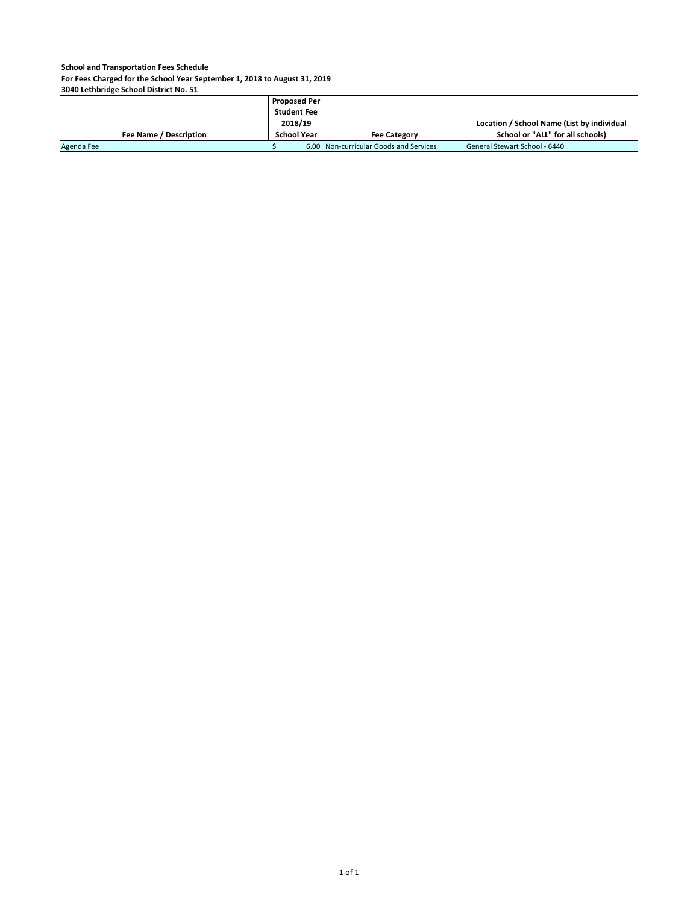**For Fees Charged for the School Year September 1, 2018 to August 31, 2019**

|                               | Proposed Per       |                                        |                                            |
|-------------------------------|--------------------|----------------------------------------|--------------------------------------------|
|                               | <b>Student Fee</b> |                                        |                                            |
|                               | 2018/19            |                                        | Location / School Name (List by individual |
| <b>Fee Name / Description</b> | <b>School Year</b> | <b>Fee Category</b>                    | School or "ALL" for all schools)           |
| Agenda Fee                    |                    | 6.00 Non-curricular Goods and Services | General Stewart School - 6440              |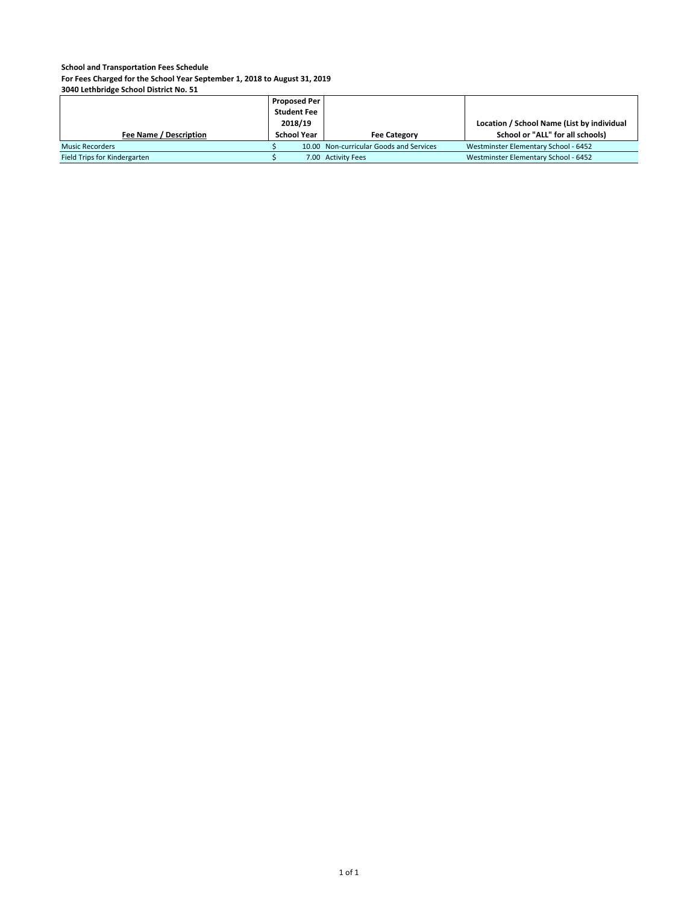**For Fees Charged for the School Year September 1, 2018 to August 31, 2019**

|                              | <b>Proposed Per</b> |                                         |                                            |
|------------------------------|---------------------|-----------------------------------------|--------------------------------------------|
|                              | <b>Student Fee</b>  |                                         |                                            |
|                              | 2018/19             |                                         | Location / School Name (List by individual |
| Fee Name / Description       | <b>School Year</b>  | <b>Fee Category</b>                     | School or "ALL" for all schools)           |
| <b>Music Recorders</b>       |                     | 10.00 Non-curricular Goods and Services | Westminster Elementary School - 6452       |
| Field Trips for Kindergarten |                     | 7.00 Activity Fees                      | Westminster Elementary School - 6452       |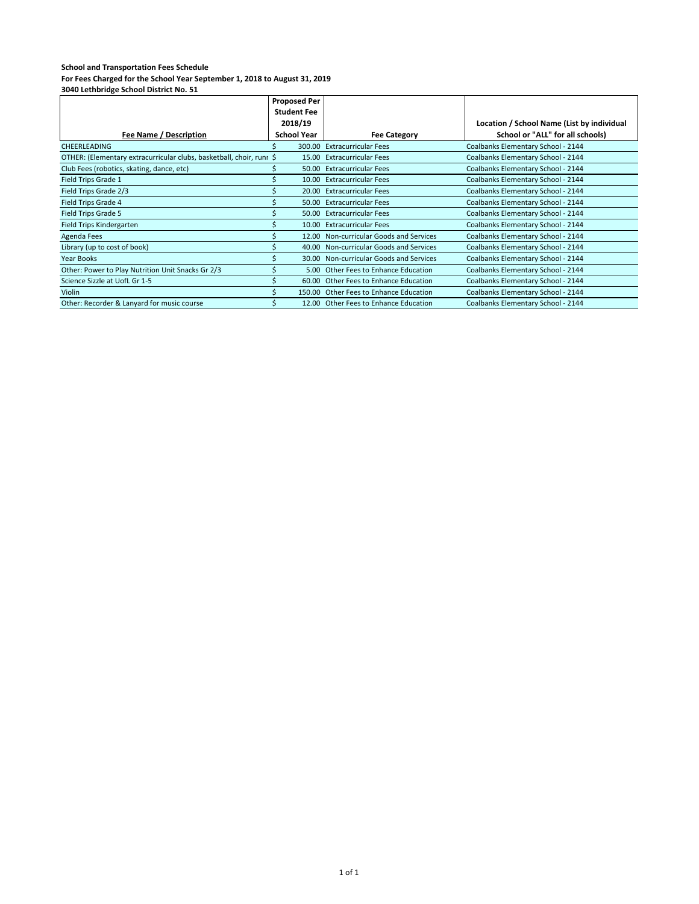|                                                                      | <b>Proposed Per</b> |       |                                         |                                            |
|----------------------------------------------------------------------|---------------------|-------|-----------------------------------------|--------------------------------------------|
|                                                                      | <b>Student Fee</b>  |       |                                         |                                            |
|                                                                      | 2018/19             |       |                                         | Location / School Name (List by individual |
| Fee Name / Description                                               | <b>School Year</b>  |       | <b>Fee Category</b>                     | School or "ALL" for all schools)           |
| <b>CHEERLEADING</b>                                                  |                     |       | 300.00 Extracurricular Fees             | Coalbanks Elementary School - 2144         |
| OTHER: (Elementary extracurricular clubs, basketball, choir, runr \$ |                     |       | 15.00 Extracurricular Fees              | Coalbanks Elementary School - 2144         |
| Club Fees (robotics, skating, dance, etc)                            |                     |       | 50.00 Extracurricular Fees              | Coalbanks Elementary School - 2144         |
| Field Trips Grade 1                                                  |                     |       | 10.00 Extracurricular Fees              | Coalbanks Elementary School - 2144         |
| Field Trips Grade 2/3                                                |                     |       | 20.00 Extracurricular Fees              | Coalbanks Elementary School - 2144         |
| Field Trips Grade 4                                                  |                     |       | 50.00 Extracurricular Fees              | Coalbanks Elementary School - 2144         |
| Field Trips Grade 5                                                  |                     |       | 50.00 Extracurricular Fees              | Coalbanks Elementary School - 2144         |
| Field Trips Kindergarten                                             |                     |       | 10.00 Extracurricular Fees              | Coalbanks Elementary School - 2144         |
| Agenda Fees                                                          |                     |       | 12.00 Non-curricular Goods and Services | Coalbanks Elementary School - 2144         |
| Library (up to cost of book)                                         |                     |       | 40.00 Non-curricular Goods and Services | Coalbanks Elementary School - 2144         |
| Year Books                                                           |                     |       | 30.00 Non-curricular Goods and Services | Coalbanks Elementary School - 2144         |
| Other: Power to Play Nutrition Unit Snacks Gr 2/3                    |                     |       | 5.00 Other Fees to Enhance Education    | Coalbanks Elementary School - 2144         |
| Science Sizzle at UofL Gr 1-5                                        |                     | 60.00 | Other Fees to Enhance Education         | Coalbanks Elementary School - 2144         |
| Violin                                                               |                     |       | 150.00 Other Fees to Enhance Education  | Coalbanks Elementary School - 2144         |
| Other: Recorder & Lanyard for music course                           |                     |       | 12.00 Other Fees to Enhance Education   | Coalbanks Elementary School - 2144         |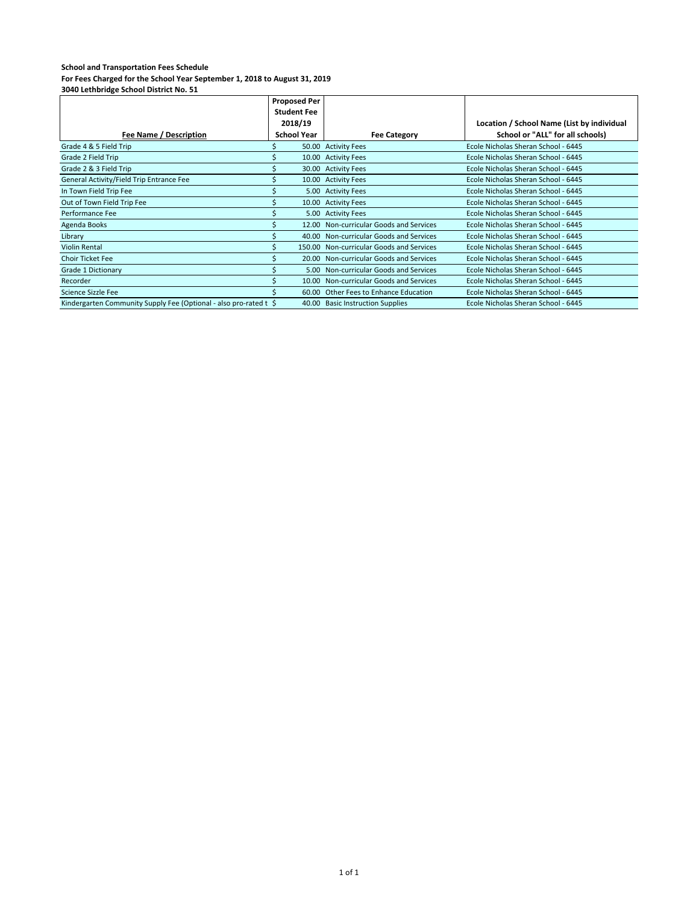#### **School and Transportation Fees Schedule For Fees Charged for the School Year September 1, 2018 to August 31, 2019**

|                                                                   | <b>Proposed Per</b> |       |                                          |                                            |
|-------------------------------------------------------------------|---------------------|-------|------------------------------------------|--------------------------------------------|
|                                                                   | <b>Student Fee</b>  |       |                                          |                                            |
|                                                                   | 2018/19             |       |                                          | Location / School Name (List by individual |
| Fee Name / Description                                            | <b>School Year</b>  |       | <b>Fee Category</b>                      | School or "ALL" for all schools)           |
| Grade 4 & 5 Field Trip                                            |                     |       | 50.00 Activity Fees                      | Ecole Nicholas Sheran School - 6445        |
| Grade 2 Field Trip                                                |                     |       | 10.00 Activity Fees                      | Ecole Nicholas Sheran School - 6445        |
| Grade 2 & 3 Field Trip                                            |                     |       | 30.00 Activity Fees                      | Ecole Nicholas Sheran School - 6445        |
| General Activity/Field Trip Entrance Fee                          |                     |       | 10.00 Activity Fees                      | Ecole Nicholas Sheran School - 6445        |
| In Town Field Trip Fee                                            |                     |       | 5.00 Activity Fees                       | Ecole Nicholas Sheran School - 6445        |
| Out of Town Field Trip Fee                                        |                     |       | 10.00 Activity Fees                      | Ecole Nicholas Sheran School - 6445        |
| Performance Fee                                                   |                     |       | 5.00 Activity Fees                       | Ecole Nicholas Sheran School - 6445        |
| Agenda Books                                                      |                     | 12.00 | Non-curricular Goods and Services        | Ecole Nicholas Sheran School - 6445        |
| Library                                                           |                     |       | 40.00 Non-curricular Goods and Services  | Ecole Nicholas Sheran School - 6445        |
| <b>Violin Rental</b>                                              |                     |       | 150.00 Non-curricular Goods and Services | Ecole Nicholas Sheran School - 6445        |
| <b>Choir Ticket Fee</b>                                           |                     |       | 20.00 Non-curricular Goods and Services  | Ecole Nicholas Sheran School - 6445        |
| Grade 1 Dictionary                                                |                     |       | 5.00 Non-curricular Goods and Services   | Ecole Nicholas Sheran School - 6445        |
| Recorder                                                          |                     |       | 10.00 Non-curricular Goods and Services  | Ecole Nicholas Sheran School - 6445        |
| Science Sizzle Fee                                                |                     |       | 60.00 Other Fees to Enhance Education    | Ecole Nicholas Sheran School - 6445        |
| Kindergarten Community Supply Fee (Optional - also pro-rated t \$ |                     |       | 40.00 Basic Instruction Supplies         | Ecole Nicholas Sheran School - 6445        |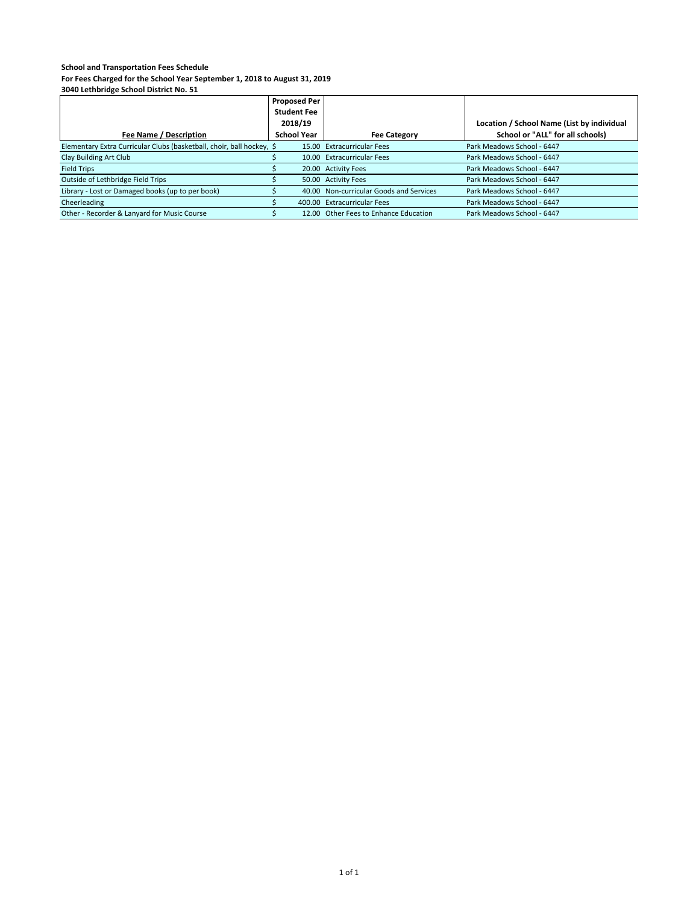**For Fees Charged for the School Year September 1, 2018 to August 31, 2019**

|                                                                       | <b>Proposed Per</b> |  |                                         |                                            |
|-----------------------------------------------------------------------|---------------------|--|-----------------------------------------|--------------------------------------------|
|                                                                       | <b>Student Fee</b>  |  |                                         |                                            |
|                                                                       | 2018/19             |  |                                         | Location / School Name (List by individual |
| Fee Name / Description                                                | <b>School Year</b>  |  | <b>Fee Category</b>                     | School or "ALL" for all schools)           |
| Elementary Extra Curricular Clubs (basketball, choir, ball hockey, \$ |                     |  | 15.00 Extracurricular Fees              | Park Meadows School - 6447                 |
| Clay Building Art Club                                                |                     |  | 10.00 Extracurricular Fees              | Park Meadows School - 6447                 |
| <b>Field Trips</b>                                                    |                     |  | 20.00 Activity Fees                     | Park Meadows School - 6447                 |
| Outside of Lethbridge Field Trips                                     |                     |  | 50.00 Activity Fees                     | Park Meadows School - 6447                 |
| Library - Lost or Damaged books (up to per book)                      |                     |  | 40.00 Non-curricular Goods and Services | Park Meadows School - 6447                 |
| Cheerleading                                                          |                     |  | 400.00 Extracurricular Fees             | Park Meadows School - 6447                 |
| Other - Recorder & Lanyard for Music Course                           |                     |  | 12.00 Other Fees to Enhance Education   | Park Meadows School - 6447                 |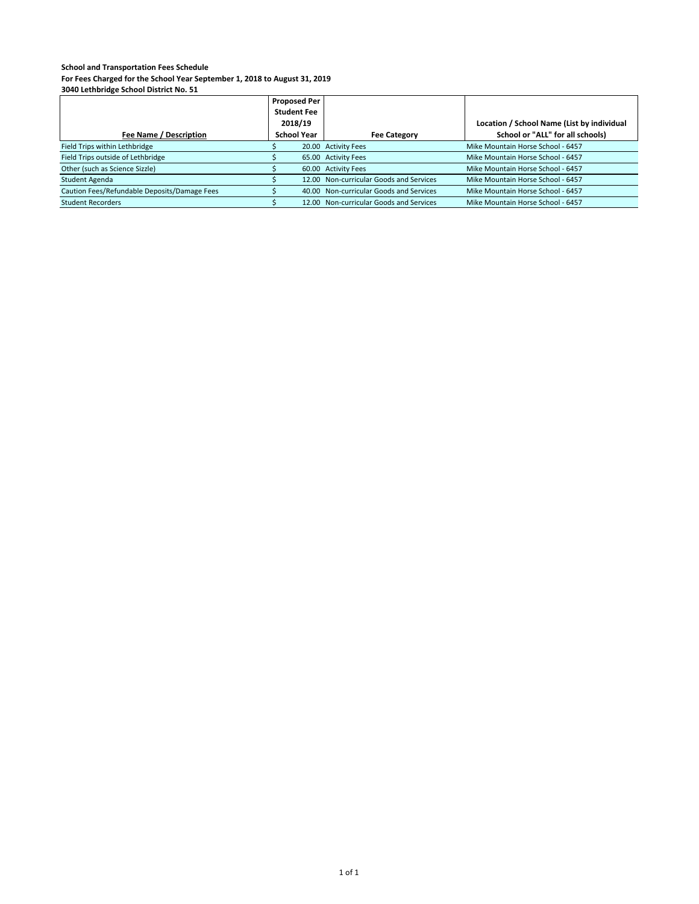**For Fees Charged for the School Year September 1, 2018 to August 31, 2019**

|                                              | <b>Proposed Per</b><br><b>Student Fee</b><br>2018/19 |                                         | Location / School Name (List by individual |
|----------------------------------------------|------------------------------------------------------|-----------------------------------------|--------------------------------------------|
| Fee Name / Description                       | <b>School Year</b>                                   | <b>Fee Category</b>                     | School or "ALL" for all schools)           |
| Field Trips within Lethbridge                |                                                      | 20.00 Activity Fees                     | Mike Mountain Horse School - 6457          |
| Field Trips outside of Lethbridge            |                                                      | 65.00 Activity Fees                     | Mike Mountain Horse School - 6457          |
| Other (such as Science Sizzle)               |                                                      | 60.00 Activity Fees                     | Mike Mountain Horse School - 6457          |
| Student Agenda                               |                                                      | 12.00 Non-curricular Goods and Services | Mike Mountain Horse School - 6457          |
| Caution Fees/Refundable Deposits/Damage Fees |                                                      | 40.00 Non-curricular Goods and Services | Mike Mountain Horse School - 6457          |
| <b>Student Recorders</b>                     |                                                      | 12.00 Non-curricular Goods and Services | Mike Mountain Horse School - 6457          |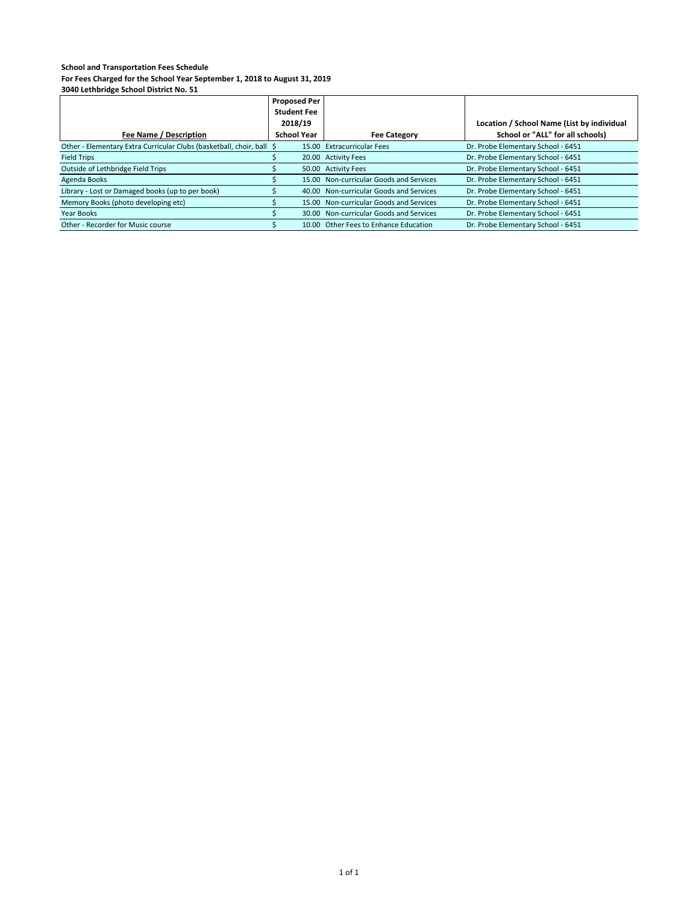**For Fees Charged for the School Year September 1, 2018 to August 31, 2019**

|                                                                       | <b>Proposed Per</b> |                                         |                                            |
|-----------------------------------------------------------------------|---------------------|-----------------------------------------|--------------------------------------------|
|                                                                       | <b>Student Fee</b>  |                                         |                                            |
|                                                                       | 2018/19             |                                         | Location / School Name (List by individual |
| Fee Name / Description                                                | <b>School Year</b>  | <b>Fee Category</b>                     | School or "ALL" for all schools)           |
| Other - Elementary Extra Curricular Clubs (basketball, choir, ball \$ |                     | 15.00 Extracurricular Fees              | Dr. Probe Elementary School - 6451         |
| <b>Field Trips</b>                                                    |                     | 20.00 Activity Fees                     | Dr. Probe Elementary School - 6451         |
| Outside of Lethbridge Field Trips                                     |                     | 50.00 Activity Fees                     | Dr. Probe Elementary School - 6451         |
| Agenda Books                                                          |                     | 15.00 Non-curricular Goods and Services | Dr. Probe Elementary School - 6451         |
| Library - Lost or Damaged books (up to per book)                      |                     | 40.00 Non-curricular Goods and Services | Dr. Probe Elementary School - 6451         |
| Memory Books (photo developing etc)                                   |                     | 15.00 Non-curricular Goods and Services | Dr. Probe Elementary School - 6451         |
| Year Books                                                            |                     | 30.00 Non-curricular Goods and Services | Dr. Probe Elementary School - 6451         |
| Other - Recorder for Music course                                     |                     | 10.00 Other Fees to Enhance Education   | Dr. Probe Elementary School - 6451         |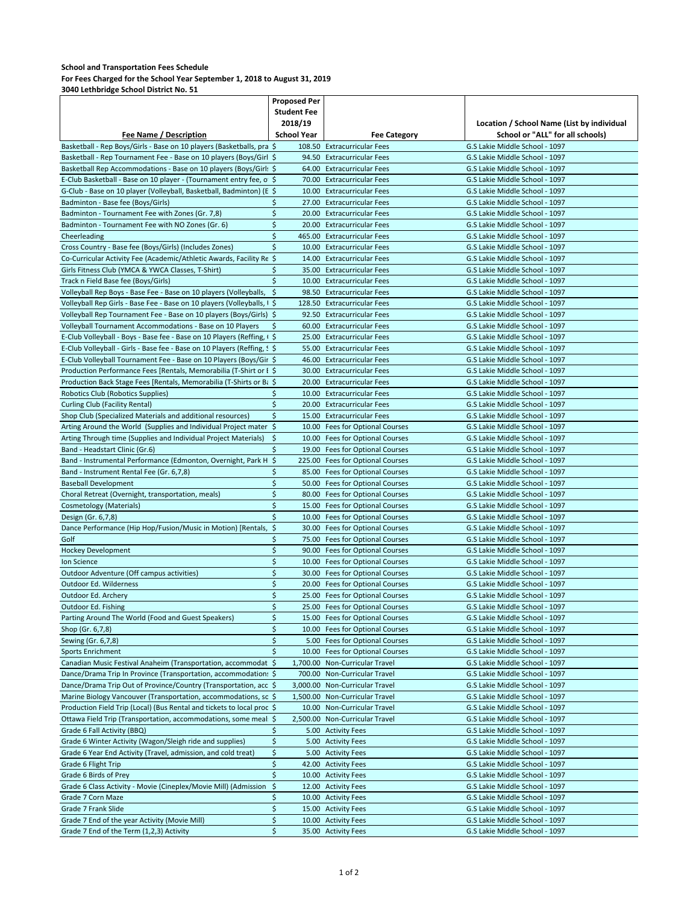**For Fees Charged for the School Year September 1, 2018 to August 31, 2019**

|                                                                               | <b>Proposed Per</b> |                                                                    |                                                                  |
|-------------------------------------------------------------------------------|---------------------|--------------------------------------------------------------------|------------------------------------------------------------------|
|                                                                               | <b>Student Fee</b>  |                                                                    |                                                                  |
|                                                                               | 2018/19             |                                                                    | Location / School Name (List by individual                       |
| <b>Fee Name / Description</b>                                                 | <b>School Year</b>  | <b>Fee Category</b>                                                | School or "ALL" for all schools)                                 |
| Basketball - Rep Boys/Girls - Base on 10 players (Basketballs, pra \$         |                     | 108.50 Extracurricular Fees                                        | G.S Lakie Middle School - 1097                                   |
| Basketball - Rep Tournament Fee - Base on 10 players (Boys/Girl \$            |                     | 94.50 Extracurricular Fees                                         | G.S Lakie Middle School - 1097                                   |
| Basketball Rep Accommodations - Base on 10 players (Boys/Girl: \$             |                     | 64.00 Extracurricular Fees                                         | G.S Lakie Middle School - 1097                                   |
| E-Club Basketball - Base on 10 player - (Tournament entry fee, o \$           |                     | 70.00 Extracurricular Fees                                         | G.S Lakie Middle School - 1097                                   |
| G-Club - Base on 10 player (Volleyball, Basketball, Badminton) (E \$          |                     | 10.00 Extracurricular Fees                                         | G.S Lakie Middle School - 1097                                   |
| Badminton - Base fee (Boys/Girls)                                             | \$                  | 27.00 Extracurricular Fees                                         | G.S Lakie Middle School - 1097                                   |
| Badminton - Tournament Fee with Zones (Gr. 7,8)                               | \$                  | 20.00 Extracurricular Fees                                         | G.S Lakie Middle School - 1097                                   |
| Badminton - Tournament Fee with NO Zones (Gr. 6)                              | \$                  | 20.00 Extracurricular Fees                                         | G.S Lakie Middle School - 1097                                   |
| Cheerleading                                                                  | \$                  | 465.00 Extracurricular Fees                                        | G.S Lakie Middle School - 1097                                   |
| Cross Country - Base fee (Boys/Girls) (Includes Zones)                        | \$                  | 10.00 Extracurricular Fees                                         | G.S Lakie Middle School - 1097                                   |
| Co-Curricular Activity Fee (Academic/Athletic Awards, Facility Re \$          |                     | 14.00 Extracurricular Fees                                         | G.S Lakie Middle School - 1097                                   |
| Girls Fitness Club (YMCA & YWCA Classes, T-Shirt)                             | \$                  | 35.00 Extracurricular Fees                                         | G.S Lakie Middle School - 1097                                   |
| Track n Field Base fee (Boys/Girls)                                           | \$                  | 10.00 Extracurricular Fees                                         | G.S Lakie Middle School - 1097                                   |
| Volleyball Rep Boys - Base Fee - Base on 10 players (Volleyballs,             | -\$                 | 98.50 Extracurricular Fees                                         | G.S Lakie Middle School - 1097                                   |
| Volleyball Rep Girls - Base Fee - Base on 10 players (Volleyballs, I \$       |                     | 128.50 Extracurricular Fees                                        | G.S Lakie Middle School - 1097                                   |
| Volleyball Rep Tournament Fee - Base on 10 players (Boys/Girls) \$            |                     | 92.50 Extracurricular Fees                                         | G.S Lakie Middle School - 1097                                   |
| Volleyball Tournament Accommodations - Base on 10 Players                     | S                   | 60.00 Extracurricular Fees                                         | G.S Lakie Middle School - 1097                                   |
| E-Club Volleyball - Boys - Base fee - Base on 10 Players (Reffing, $\sqrt{5}$ |                     | 25.00 Extracurricular Fees                                         | G.S Lakie Middle School - 1097                                   |
| E-Club Volleyball - Girls - Base fee - Base on 10 Players (Reffing, S \$      |                     | 55.00 Extracurricular Fees                                         | G.S Lakie Middle School - 1097                                   |
| E-Club Volleyball Tournament Fee - Base on 10 Players (Boys/Gir \$            |                     | 46.00 Extracurricular Fees                                         | G.S Lakie Middle School - 1097                                   |
| Production Performance Fees [Rentals, Memorabilia (T-Shirt or E \$            |                     | 30.00 Extracurricular Fees                                         | G.S Lakie Middle School - 1097                                   |
| Production Back Stage Fees [Rentals, Memorabilia (T-Shirts or Ba \$           |                     | 20.00 Extracurricular Fees                                         | G.S Lakie Middle School - 1097<br>G.S Lakie Middle School - 1097 |
| Robotics Club (Robotics Supplies)                                             | \$<br>\$            | 10.00 Extracurricular Fees<br>20.00 Extracurricular Fees           |                                                                  |
| <b>Curling Club (Facility Rental)</b>                                         |                     |                                                                    | G.S Lakie Middle School - 1097                                   |
| Shop Club (Specialized Materials and additional resources)                    | \$                  | 15.00 Extracurricular Fees                                         | G.S Lakie Middle School - 1097                                   |
| Arting Around the World (Supplies and Individual Project mater \$             |                     | 10.00 Fees for Optional Courses                                    | G.S Lakie Middle School - 1097                                   |
| Arting Through time (Supplies and Individual Project Materials)               | -\$<br>\$           | 10.00 Fees for Optional Courses                                    | G.S Lakie Middle School - 1097<br>G.S Lakie Middle School - 1097 |
| Band - Headstart Clinic (Gr.6)                                                |                     | 19.00 Fees for Optional Courses                                    |                                                                  |
| Band - Instrumental Performance (Edmonton, Overnight, Park H \$               |                     | 225.00 Fees for Optional Courses                                   | G.S Lakie Middle School - 1097                                   |
| Band - Instrument Rental Fee (Gr. 6,7,8)<br><b>Baseball Development</b>       | S<br>\$             | 85.00 Fees for Optional Courses<br>50.00 Fees for Optional Courses | G.S Lakie Middle School - 1097<br>G.S Lakie Middle School - 1097 |
| Choral Retreat (Overnight, transportation, meals)                             | \$                  | 80.00 Fees for Optional Courses                                    | G.S Lakie Middle School - 1097                                   |
| Cosmetology (Materials)                                                       | \$                  | 15.00 Fees for Optional Courses                                    | G.S Lakie Middle School - 1097                                   |
| Design (Gr. 6,7,8)                                                            | \$                  | 10.00 Fees for Optional Courses                                    | G.S Lakie Middle School - 1097                                   |
| Dance Performance (Hip Hop/Fusion/Music in Motion) [Rentals, \$               |                     | 30.00 Fees for Optional Courses                                    | G.S Lakie Middle School - 1097                                   |
| Golf                                                                          | \$                  | 75.00 Fees for Optional Courses                                    | G.S Lakie Middle School - 1097                                   |
| Hockey Development                                                            | \$                  | 90.00 Fees for Optional Courses                                    | G.S Lakie Middle School - 1097                                   |
| Ion Science                                                                   | \$                  | 10.00 Fees for Optional Courses                                    | G.S Lakie Middle School - 1097                                   |
| Outdoor Adventure (Off campus activities)                                     | \$                  | 30.00 Fees for Optional Courses                                    | G.S Lakie Middle School - 1097                                   |
| Outdoor Ed. Wilderness                                                        | \$                  | 20.00 Fees for Optional Courses                                    | G.S Lakie Middle School - 1097                                   |
| Outdoor Ed. Archery                                                           | \$                  | 25.00 Fees for Optional Courses                                    | G.S Lakie Middle School - 1097                                   |
| Outdoor Ed. Fishing                                                           | \$                  | 25.00 Fees for Optional Courses                                    | G.S Lakie Middle School - 1097                                   |
| Parting Around The World (Food and Guest Speakers)                            | \$                  | 15.00 Fees for Optional Courses                                    | G.S Lakie Middle School - 1097                                   |
| Shop (Gr. 6,7,8)                                                              | \$                  | 10.00 Fees for Optional Courses                                    | G.S Lakie Middle School - 1097                                   |
| Sewing (Gr. 6,7,8)                                                            | \$                  | 5.00 Fees for Optional Courses                                     | G.S Lakie Middle School - 1097                                   |
| <b>Sports Enrichment</b>                                                      | \$                  | 10.00 Fees for Optional Courses                                    | G.S Lakie Middle School - 1097                                   |
| Canadian Music Festival Anaheim (Transportation, accommodat \$                |                     | 1,700.00 Non-Curricular Travel                                     | G.S Lakie Middle School - 1097                                   |
| Dance/Drama Trip In Province (Transportation, accommodation: \$               |                     | 700.00 Non-Curricular Travel                                       | G.S Lakie Middle School - 1097                                   |
| Dance/Drama Trip Out of Province/Country (Transportation, acc \$              |                     | 3,000.00 Non-Curricular Travel                                     | G.S Lakie Middle School - 1097                                   |
| Marine Biology Vancouver (Transportation, accommodations, so \$               |                     | 1,500.00 Non-Curricular Travel                                     | G.S Lakie Middle School - 1097                                   |
| Production Field Trip (Local) (Bus Rental and tickets to local prod \$        |                     | 10.00 Non-Curricular Travel                                        | G.S Lakie Middle School - 1097                                   |
| Ottawa Field Trip (Transportation, accommodations, some meal: \$              |                     | 2,500.00 Non-Curricular Travel                                     | G.S Lakie Middle School - 1097                                   |
| Grade 6 Fall Activity (BBQ)                                                   | \$                  | 5.00 Activity Fees                                                 | G.S Lakie Middle School - 1097                                   |
| Grade 6 Winter Activity (Wagon/Sleigh ride and supplies)                      | \$                  | 5.00 Activity Fees                                                 | G.S Lakie Middle School - 1097                                   |
| Grade 6 Year End Activity (Travel, admission, and cold treat)                 | \$                  | 5.00 Activity Fees                                                 | G.S Lakie Middle School - 1097                                   |
| Grade 6 Flight Trip                                                           | \$                  | 42.00 Activity Fees                                                | G.S Lakie Middle School - 1097                                   |
| Grade 6 Birds of Prey                                                         | \$                  | 10.00 Activity Fees                                                | G.S Lakie Middle School - 1097                                   |
| Grade 6 Class Activity - Movie (Cineplex/Movie Mill) (Admission \$            |                     | 12.00 Activity Fees                                                | G.S Lakie Middle School - 1097                                   |
| Grade 7 Corn Maze                                                             | \$                  | 10.00 Activity Fees                                                | G.S Lakie Middle School - 1097                                   |
| Grade 7 Frank Slide                                                           | \$                  | 15.00 Activity Fees                                                | G.S Lakie Middle School - 1097                                   |
| Grade 7 End of the year Activity (Movie Mill)                                 | \$                  | 10.00 Activity Fees                                                | G.S Lakie Middle School - 1097                                   |
| Grade 7 End of the Term (1,2,3) Activity                                      | \$                  | 35.00 Activity Fees                                                | G.S Lakie Middle School - 1097                                   |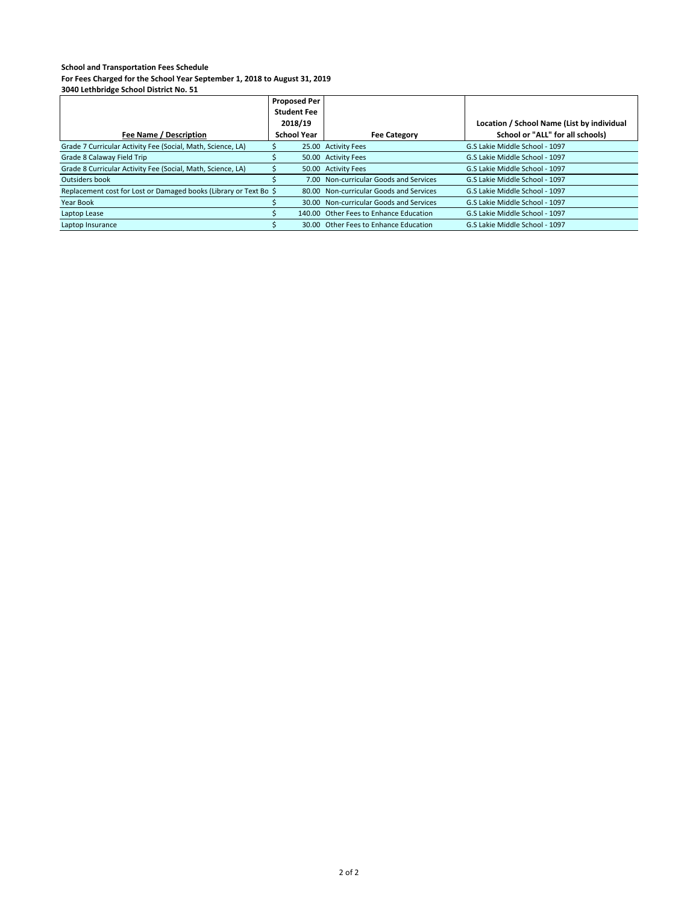**For Fees Charged for the School Year September 1, 2018 to August 31, 2019**

|                                                                   | <b>Proposed Per</b> |                                         |                                            |
|-------------------------------------------------------------------|---------------------|-----------------------------------------|--------------------------------------------|
|                                                                   | <b>Student Fee</b>  |                                         |                                            |
|                                                                   | 2018/19             |                                         | Location / School Name (List by individual |
| Fee Name / Description                                            | <b>School Year</b>  | <b>Fee Category</b>                     | School or "ALL" for all schools)           |
| Grade 7 Curricular Activity Fee (Social, Math, Science, LA)       |                     | 25.00 Activity Fees                     | G.S Lakie Middle School - 1097             |
| Grade 8 Calaway Field Trip                                        |                     | 50.00 Activity Fees                     | G.S Lakie Middle School - 1097             |
| Grade 8 Curricular Activity Fee (Social, Math, Science, LA)       |                     | 50.00 Activity Fees                     | G.S Lakie Middle School - 1097             |
| Outsiders book                                                    |                     | 7.00 Non-curricular Goods and Services  | G.S Lakie Middle School - 1097             |
| Replacement cost for Lost or Damaged books (Library or Text Bo \$ |                     | 80.00 Non-curricular Goods and Services | G.S Lakie Middle School - 1097             |
| Year Book                                                         |                     | 30.00 Non-curricular Goods and Services | G.S Lakie Middle School - 1097             |
| Laptop Lease                                                      |                     | 140.00 Other Fees to Enhance Education  | G.S Lakie Middle School - 1097             |
| Laptop Insurance                                                  |                     | 30.00 Other Fees to Enhance Education   | G.S Lakie Middle School - 1097             |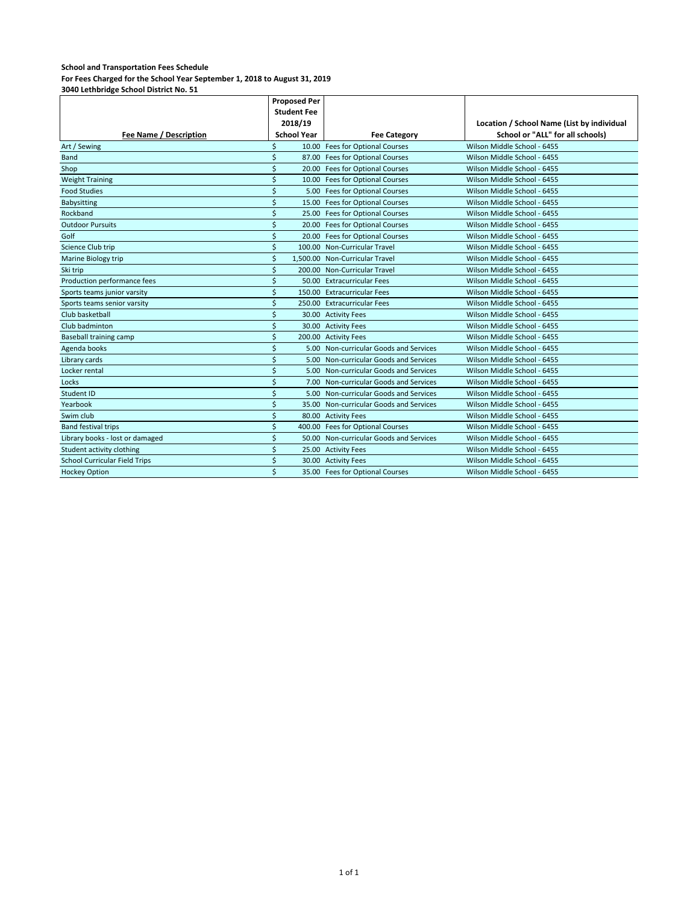**For Fees Charged for the School Year September 1, 2018 to August 31, 2019**

|                                      | <b>Proposed Per</b> |                    |                                         |                                            |
|--------------------------------------|---------------------|--------------------|-----------------------------------------|--------------------------------------------|
|                                      |                     | <b>Student Fee</b> |                                         |                                            |
|                                      |                     | 2018/19            |                                         | Location / School Name (List by individual |
| Fee Name / Description               |                     | <b>School Year</b> | <b>Fee Category</b>                     | School or "ALL" for all schools)           |
| Art / Sewing                         | ς                   |                    | 10.00 Fees for Optional Courses         | Wilson Middle School - 6455                |
| Band                                 | Ś                   |                    | 87.00 Fees for Optional Courses         | Wilson Middle School - 6455                |
| Shop                                 | Ś                   |                    | 20.00 Fees for Optional Courses         | Wilson Middle School - 6455                |
| <b>Weight Training</b>               | Ś                   |                    | 10.00 Fees for Optional Courses         | Wilson Middle School - 6455                |
| <b>Food Studies</b>                  | $\breve{}$          | 5.00               | <b>Fees for Optional Courses</b>        | Wilson Middle School - 6455                |
| Babysitting                          | Ś                   |                    | 15.00 Fees for Optional Courses         | Wilson Middle School - 6455                |
| Rockband                             | Ś                   |                    | 25.00 Fees for Optional Courses         | Wilson Middle School - 6455                |
| <b>Outdoor Pursuits</b>              | Ś                   |                    | 20.00 Fees for Optional Courses         | Wilson Middle School - 6455                |
| Golf                                 | Ś                   |                    | 20.00 Fees for Optional Courses         | Wilson Middle School - 6455                |
| Science Club trip                    | Ś                   |                    | 100.00 Non-Curricular Travel            | Wilson Middle School - 6455                |
| Marine Biology trip                  | Ś                   |                    | 1.500.00 Non-Curricular Travel          | Wilson Middle School - 6455                |
| Ski trip                             | Ś                   |                    | 200.00 Non-Curricular Travel            | Wilson Middle School - 6455                |
| Production performance fees          | Ś                   |                    | 50.00 Extracurricular Fees              | Wilson Middle School - 6455                |
| Sports teams junior varsity          | \$                  |                    | 150.00 Extracurricular Fees             | Wilson Middle School - 6455                |
| Sports teams senior varsity          | Ś                   |                    | 250.00 Extracurricular Fees             | Wilson Middle School - 6455                |
| Club basketball                      | Ś                   |                    | 30.00 Activity Fees                     | Wilson Middle School - 6455                |
| Club badminton                       | Ś                   |                    | 30.00 Activity Fees                     | Wilson Middle School - 6455                |
| <b>Baseball training camp</b>        | Ś                   |                    | 200.00 Activity Fees                    | Wilson Middle School - 6455                |
| Agenda books                         | Ś                   |                    | 5.00 Non-curricular Goods and Services  | Wilson Middle School - 6455                |
| Library cards                        | Ś                   |                    | 5.00 Non-curricular Goods and Services  | Wilson Middle School - 6455                |
| Locker rental                        | Ś                   |                    | 5.00 Non-curricular Goods and Services  | Wilson Middle School - 6455                |
| Locks                                | Ś                   | 7.00               | Non-curricular Goods and Services       | Wilson Middle School - 6455                |
| Student ID                           | Ś                   |                    | 5.00 Non-curricular Goods and Services  | Wilson Middle School - 6455                |
| Yearbook                             | Ś                   |                    | 35.00 Non-curricular Goods and Services | Wilson Middle School - 6455                |
| Swim club                            | Ś                   |                    | 80.00 Activity Fees                     | Wilson Middle School - 6455                |
| <b>Band festival trips</b>           | Ś                   |                    | 400.00 Fees for Optional Courses        | Wilson Middle School - 6455                |
| Library books - lost or damaged      | Ś                   |                    | 50.00 Non-curricular Goods and Services | Wilson Middle School - 6455                |
| Student activity clothing            | Ś                   |                    | 25.00 Activity Fees                     | Wilson Middle School - 6455                |
| <b>School Curricular Field Trips</b> | Ś                   |                    | 30.00 Activity Fees                     | Wilson Middle School - 6455                |
| <b>Hockey Option</b>                 | ς                   |                    | 35.00 Fees for Optional Courses         | Wilson Middle School - 6455                |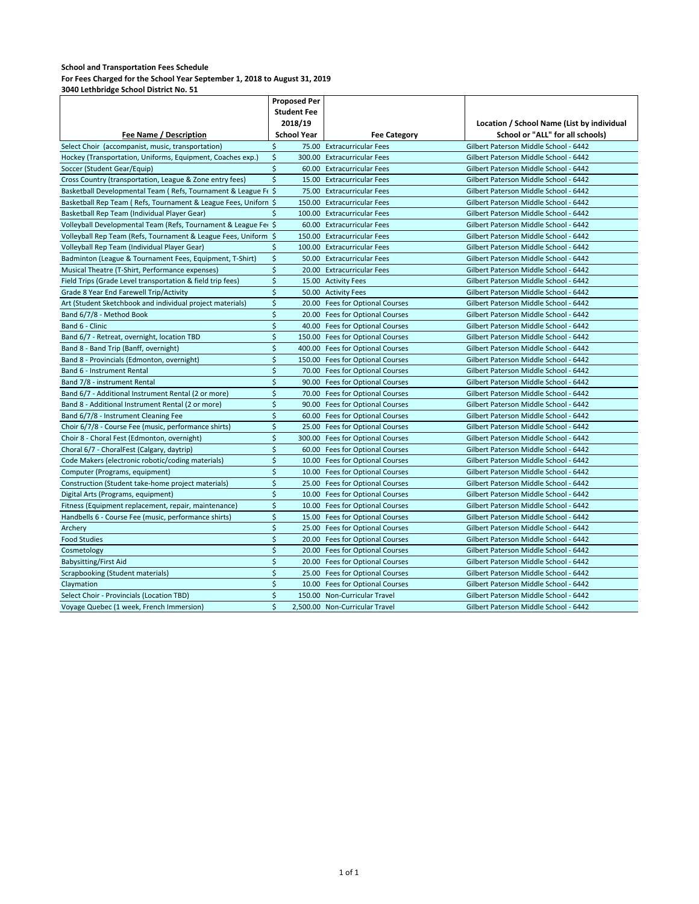| <b>Student Fee</b><br>2018/19<br>Location / School Name (List by individual<br>School or "ALL" for all schools)<br><b>School Year</b><br>Fee Name / Description<br><b>Fee Category</b><br>Gilbert Paterson Middle School - 6442<br>Select Choir (accompanist, music, transportation)<br>\$<br>75.00 Extracurricular Fees<br>\$<br>Hockey (Transportation, Uniforms, Equipment, Coaches exp.)<br>300.00 Extracurricular Fees<br>Gilbert Paterson Middle School - 6442<br>\$<br>Soccer (Student Gear/Equip)<br>60.00 Extracurricular Fees<br>Gilbert Paterson Middle School - 6442<br>\$<br>Cross Country (transportation, League & Zone entry fees)<br>15.00 Extracurricular Fees<br>Gilbert Paterson Middle School - 6442<br>Basketball Developmental Team (Refs, Tournament & League Fe \$<br>75.00 Extracurricular Fees<br>Gilbert Paterson Middle School - 6442<br>Basketball Rep Team (Refs, Tournament & League Fees, Uniforn \$<br>150.00 Extracurricular Fees<br>Gilbert Paterson Middle School - 6442<br>Basketball Rep Team (Individual Player Gear)<br>100.00 Extracurricular Fees<br>Gilbert Paterson Middle School - 6442<br>Ŝ<br>Volleyball Developmental Team (Refs, Tournament & League Fer \$<br>60.00 Extracurricular Fees<br>Gilbert Paterson Middle School - 6442<br>Volleyball Rep Team (Refs, Tournament & League Fees, Uniform \$<br>Gilbert Paterson Middle School - 6442<br>150.00 Extracurricular Fees<br>\$<br>Volleyball Rep Team (Individual Player Gear)<br>100.00 Extracurricular Fees<br>Gilbert Paterson Middle School - 6442<br>\$<br>50.00 Extracurricular Fees<br>Gilbert Paterson Middle School - 6442<br>Badminton (League & Tournament Fees, Equipment, T-Shirt)<br>\$<br>Musical Theatre (T-Shirt, Performance expenses)<br>20.00 Extracurricular Fees<br>Gilbert Paterson Middle School - 6442<br>\$<br>Field Trips (Grade Level transportation & field trip fees)<br>15.00 Activity Fees<br>Gilbert Paterson Middle School - 6442<br>\$<br>Grade 8 Year End Farewell Trip/Activity<br>50.00 Activity Fees<br>Gilbert Paterson Middle School - 6442<br>\$<br>Gilbert Paterson Middle School - 6442<br>Art (Student Sketchbook and individual project materials)<br>20.00 Fees for Optional Courses<br>$\zeta$<br>Band 6/7/8 - Method Book<br>Gilbert Paterson Middle School - 6442<br>20.00 Fees for Optional Courses<br>\$<br>Band 6 - Clinic<br>40.00 Fees for Optional Courses<br>Gilbert Paterson Middle School - 6442<br>$\zeta$<br>Band 6/7 - Retreat, overnight, location TBD<br>150.00 Fees for Optional Courses<br>Gilbert Paterson Middle School - 6442<br>\$<br>Band 8 - Band Trip (Banff, overnight)<br>400.00 Fees for Optional Courses<br>Gilbert Paterson Middle School - 6442<br>\$<br>Band 8 - Provincials (Edmonton, overnight)<br>Gilbert Paterson Middle School - 6442<br>150.00 Fees for Optional Courses<br>\$<br>Gilbert Paterson Middle School - 6442<br>Band 6 - Instrument Rental<br>70.00 Fees for Optional Courses<br>\$<br>Band 7/8 - instrument Rental<br>90.00 Fees for Optional Courses<br>Gilbert Paterson Middle School - 6442<br>\$<br>Band 6/7 - Additional Instrument Rental (2 or more)<br>Gilbert Paterson Middle School - 6442<br>70.00 Fees for Optional Courses<br>$\zeta$<br>Band 8 - Additional Instrument Rental (2 or more)<br>90.00 Fees for Optional Courses<br>Gilbert Paterson Middle School - 6442<br>\$<br>Band 6/7/8 - Instrument Cleaning Fee<br>60.00 Fees for Optional Courses<br>Gilbert Paterson Middle School - 6442<br>\$<br>Choir 6/7/8 - Course Fee (music, performance shirts)<br>25.00 Fees for Optional Courses<br>Gilbert Paterson Middle School - 6442<br>\$<br>Choir 8 - Choral Fest (Edmonton, overnight)<br>300.00 Fees for Optional Courses<br>Gilbert Paterson Middle School - 6442<br>$\zeta$<br>Choral 6/7 - ChoralFest (Calgary, daytrip)<br>60.00 Fees for Optional Courses<br>Gilbert Paterson Middle School - 6442<br>$\zeta$<br>Code Makers (electronic robotic/coding materials)<br>Gilbert Paterson Middle School - 6442<br>10.00 Fees for Optional Courses<br>\$<br>Computer (Programs, equipment)<br>10.00 Fees for Optional Courses<br>Gilbert Paterson Middle School - 6442<br>\$<br>Gilbert Paterson Middle School - 6442<br>Construction (Student take-home project materials)<br>25.00 Fees for Optional Courses<br>$\zeta$<br>Digital Arts (Programs, equipment)<br>10.00 Fees for Optional Courses<br>Gilbert Paterson Middle School - 6442<br>\$<br>Gilbert Paterson Middle School - 6442<br>Fitness (Equipment replacement, repair, maintenance)<br>10.00 Fees for Optional Courses<br>\$<br>Handbells 6 - Course Fee (music, performance shirts)<br>15.00 Fees for Optional Courses<br>Gilbert Paterson Middle School - 6442<br>\$<br>25.00 Fees for Optional Courses<br>Gilbert Paterson Middle School - 6442<br>Archery<br>\$<br><b>Food Studies</b><br>20.00 Fees for Optional Courses<br>Gilbert Paterson Middle School - 6442<br>$\zeta$<br>Gilbert Paterson Middle School - 6442<br>20.00 Fees for Optional Courses<br>Cosmetology<br>\$<br><b>Babysitting/First Aid</b><br>20.00 Fees for Optional Courses<br>Gilbert Paterson Middle School - 6442<br>\$<br>Scrapbooking (Student materials)<br>25.00 Fees for Optional Courses<br>Gilbert Paterson Middle School - 6442<br>\$<br>Claymation<br>10.00 Fees for Optional Courses<br>Gilbert Paterson Middle School - 6442<br>\$<br>Select Choir - Provincials (Location TBD)<br>150.00 Non-Curricular Travel<br>Gilbert Paterson Middle School - 6442 |                                          | <b>Proposed Per</b> |  |                                       |
|---------------------------------------------------------------------------------------------------------------------------------------------------------------------------------------------------------------------------------------------------------------------------------------------------------------------------------------------------------------------------------------------------------------------------------------------------------------------------------------------------------------------------------------------------------------------------------------------------------------------------------------------------------------------------------------------------------------------------------------------------------------------------------------------------------------------------------------------------------------------------------------------------------------------------------------------------------------------------------------------------------------------------------------------------------------------------------------------------------------------------------------------------------------------------------------------------------------------------------------------------------------------------------------------------------------------------------------------------------------------------------------------------------------------------------------------------------------------------------------------------------------------------------------------------------------------------------------------------------------------------------------------------------------------------------------------------------------------------------------------------------------------------------------------------------------------------------------------------------------------------------------------------------------------------------------------------------------------------------------------------------------------------------------------------------------------------------------------------------------------------------------------------------------------------------------------------------------------------------------------------------------------------------------------------------------------------------------------------------------------------------------------------------------------------------------------------------------------------------------------------------------------------------------------------------------------------------------------------------------------------------------------------------------------------------------------------------------------------------------------------------------------------------------------------------------------------------------------------------------------------------------------------------------------------------------------------------------------------------------------------------------------------------------------------------------------------------------------------------------------------------------------------------------------------------------------------------------------------------------------------------------------------------------------------------------------------------------------------------------------------------------------------------------------------------------------------------------------------------------------------------------------------------------------------------------------------------------------------------------------------------------------------------------------------------------------------------------------------------------------------------------------------------------------------------------------------------------------------------------------------------------------------------------------------------------------------------------------------------------------------------------------------------------------------------------------------------------------------------------------------------------------------------------------------------------------------------------------------------------------------------------------------------------------------------------------------------------------------------------------------------------------------------------------------------------------------------------------------------------------------------------------------------------------------------------------------------------------------------------------------------------------------------------------------------------------------------------------------------------------------------------------------------------------------------------------------------------------------------------------------------------------------------------------------------------------------------------------------------------------------------------------------------------------------------------------------------------------------------------------------------------------------------------------------------------------------------------------------------------------------------------------------------------------------------------------------------------------------------------------------------------------------------------------------------------------------------------------------------------------------------------------------------------------------|------------------------------------------|---------------------|--|---------------------------------------|
|                                                                                                                                                                                                                                                                                                                                                                                                                                                                                                                                                                                                                                                                                                                                                                                                                                                                                                                                                                                                                                                                                                                                                                                                                                                                                                                                                                                                                                                                                                                                                                                                                                                                                                                                                                                                                                                                                                                                                                                                                                                                                                                                                                                                                                                                                                                                                                                                                                                                                                                                                                                                                                                                                                                                                                                                                                                                                                                                                                                                                                                                                                                                                                                                                                                                                                                                                                                                                                                                                                                                                                                                                                                                                                                                                                                                                                                                                                                                                                                                                                                                                                                                                                                                                                                                                                                                                                                                                                                                                                                                                                                                                                                                                                                                                                                                                                                                                                                                                                                                                                                                                                                                                                                                                                                                                                                                                                                                                                                                                                                                                   |                                          |                     |  |                                       |
|                                                                                                                                                                                                                                                                                                                                                                                                                                                                                                                                                                                                                                                                                                                                                                                                                                                                                                                                                                                                                                                                                                                                                                                                                                                                                                                                                                                                                                                                                                                                                                                                                                                                                                                                                                                                                                                                                                                                                                                                                                                                                                                                                                                                                                                                                                                                                                                                                                                                                                                                                                                                                                                                                                                                                                                                                                                                                                                                                                                                                                                                                                                                                                                                                                                                                                                                                                                                                                                                                                                                                                                                                                                                                                                                                                                                                                                                                                                                                                                                                                                                                                                                                                                                                                                                                                                                                                                                                                                                                                                                                                                                                                                                                                                                                                                                                                                                                                                                                                                                                                                                                                                                                                                                                                                                                                                                                                                                                                                                                                                                                   |                                          |                     |  |                                       |
|                                                                                                                                                                                                                                                                                                                                                                                                                                                                                                                                                                                                                                                                                                                                                                                                                                                                                                                                                                                                                                                                                                                                                                                                                                                                                                                                                                                                                                                                                                                                                                                                                                                                                                                                                                                                                                                                                                                                                                                                                                                                                                                                                                                                                                                                                                                                                                                                                                                                                                                                                                                                                                                                                                                                                                                                                                                                                                                                                                                                                                                                                                                                                                                                                                                                                                                                                                                                                                                                                                                                                                                                                                                                                                                                                                                                                                                                                                                                                                                                                                                                                                                                                                                                                                                                                                                                                                                                                                                                                                                                                                                                                                                                                                                                                                                                                                                                                                                                                                                                                                                                                                                                                                                                                                                                                                                                                                                                                                                                                                                                                   |                                          |                     |  |                                       |
|                                                                                                                                                                                                                                                                                                                                                                                                                                                                                                                                                                                                                                                                                                                                                                                                                                                                                                                                                                                                                                                                                                                                                                                                                                                                                                                                                                                                                                                                                                                                                                                                                                                                                                                                                                                                                                                                                                                                                                                                                                                                                                                                                                                                                                                                                                                                                                                                                                                                                                                                                                                                                                                                                                                                                                                                                                                                                                                                                                                                                                                                                                                                                                                                                                                                                                                                                                                                                                                                                                                                                                                                                                                                                                                                                                                                                                                                                                                                                                                                                                                                                                                                                                                                                                                                                                                                                                                                                                                                                                                                                                                                                                                                                                                                                                                                                                                                                                                                                                                                                                                                                                                                                                                                                                                                                                                                                                                                                                                                                                                                                   |                                          |                     |  |                                       |
|                                                                                                                                                                                                                                                                                                                                                                                                                                                                                                                                                                                                                                                                                                                                                                                                                                                                                                                                                                                                                                                                                                                                                                                                                                                                                                                                                                                                                                                                                                                                                                                                                                                                                                                                                                                                                                                                                                                                                                                                                                                                                                                                                                                                                                                                                                                                                                                                                                                                                                                                                                                                                                                                                                                                                                                                                                                                                                                                                                                                                                                                                                                                                                                                                                                                                                                                                                                                                                                                                                                                                                                                                                                                                                                                                                                                                                                                                                                                                                                                                                                                                                                                                                                                                                                                                                                                                                                                                                                                                                                                                                                                                                                                                                                                                                                                                                                                                                                                                                                                                                                                                                                                                                                                                                                                                                                                                                                                                                                                                                                                                   |                                          |                     |  |                                       |
|                                                                                                                                                                                                                                                                                                                                                                                                                                                                                                                                                                                                                                                                                                                                                                                                                                                                                                                                                                                                                                                                                                                                                                                                                                                                                                                                                                                                                                                                                                                                                                                                                                                                                                                                                                                                                                                                                                                                                                                                                                                                                                                                                                                                                                                                                                                                                                                                                                                                                                                                                                                                                                                                                                                                                                                                                                                                                                                                                                                                                                                                                                                                                                                                                                                                                                                                                                                                                                                                                                                                                                                                                                                                                                                                                                                                                                                                                                                                                                                                                                                                                                                                                                                                                                                                                                                                                                                                                                                                                                                                                                                                                                                                                                                                                                                                                                                                                                                                                                                                                                                                                                                                                                                                                                                                                                                                                                                                                                                                                                                                                   |                                          |                     |  |                                       |
|                                                                                                                                                                                                                                                                                                                                                                                                                                                                                                                                                                                                                                                                                                                                                                                                                                                                                                                                                                                                                                                                                                                                                                                                                                                                                                                                                                                                                                                                                                                                                                                                                                                                                                                                                                                                                                                                                                                                                                                                                                                                                                                                                                                                                                                                                                                                                                                                                                                                                                                                                                                                                                                                                                                                                                                                                                                                                                                                                                                                                                                                                                                                                                                                                                                                                                                                                                                                                                                                                                                                                                                                                                                                                                                                                                                                                                                                                                                                                                                                                                                                                                                                                                                                                                                                                                                                                                                                                                                                                                                                                                                                                                                                                                                                                                                                                                                                                                                                                                                                                                                                                                                                                                                                                                                                                                                                                                                                                                                                                                                                                   |                                          |                     |  |                                       |
|                                                                                                                                                                                                                                                                                                                                                                                                                                                                                                                                                                                                                                                                                                                                                                                                                                                                                                                                                                                                                                                                                                                                                                                                                                                                                                                                                                                                                                                                                                                                                                                                                                                                                                                                                                                                                                                                                                                                                                                                                                                                                                                                                                                                                                                                                                                                                                                                                                                                                                                                                                                                                                                                                                                                                                                                                                                                                                                                                                                                                                                                                                                                                                                                                                                                                                                                                                                                                                                                                                                                                                                                                                                                                                                                                                                                                                                                                                                                                                                                                                                                                                                                                                                                                                                                                                                                                                                                                                                                                                                                                                                                                                                                                                                                                                                                                                                                                                                                                                                                                                                                                                                                                                                                                                                                                                                                                                                                                                                                                                                                                   |                                          |                     |  |                                       |
|                                                                                                                                                                                                                                                                                                                                                                                                                                                                                                                                                                                                                                                                                                                                                                                                                                                                                                                                                                                                                                                                                                                                                                                                                                                                                                                                                                                                                                                                                                                                                                                                                                                                                                                                                                                                                                                                                                                                                                                                                                                                                                                                                                                                                                                                                                                                                                                                                                                                                                                                                                                                                                                                                                                                                                                                                                                                                                                                                                                                                                                                                                                                                                                                                                                                                                                                                                                                                                                                                                                                                                                                                                                                                                                                                                                                                                                                                                                                                                                                                                                                                                                                                                                                                                                                                                                                                                                                                                                                                                                                                                                                                                                                                                                                                                                                                                                                                                                                                                                                                                                                                                                                                                                                                                                                                                                                                                                                                                                                                                                                                   |                                          |                     |  |                                       |
|                                                                                                                                                                                                                                                                                                                                                                                                                                                                                                                                                                                                                                                                                                                                                                                                                                                                                                                                                                                                                                                                                                                                                                                                                                                                                                                                                                                                                                                                                                                                                                                                                                                                                                                                                                                                                                                                                                                                                                                                                                                                                                                                                                                                                                                                                                                                                                                                                                                                                                                                                                                                                                                                                                                                                                                                                                                                                                                                                                                                                                                                                                                                                                                                                                                                                                                                                                                                                                                                                                                                                                                                                                                                                                                                                                                                                                                                                                                                                                                                                                                                                                                                                                                                                                                                                                                                                                                                                                                                                                                                                                                                                                                                                                                                                                                                                                                                                                                                                                                                                                                                                                                                                                                                                                                                                                                                                                                                                                                                                                                                                   |                                          |                     |  |                                       |
|                                                                                                                                                                                                                                                                                                                                                                                                                                                                                                                                                                                                                                                                                                                                                                                                                                                                                                                                                                                                                                                                                                                                                                                                                                                                                                                                                                                                                                                                                                                                                                                                                                                                                                                                                                                                                                                                                                                                                                                                                                                                                                                                                                                                                                                                                                                                                                                                                                                                                                                                                                                                                                                                                                                                                                                                                                                                                                                                                                                                                                                                                                                                                                                                                                                                                                                                                                                                                                                                                                                                                                                                                                                                                                                                                                                                                                                                                                                                                                                                                                                                                                                                                                                                                                                                                                                                                                                                                                                                                                                                                                                                                                                                                                                                                                                                                                                                                                                                                                                                                                                                                                                                                                                                                                                                                                                                                                                                                                                                                                                                                   |                                          |                     |  |                                       |
|                                                                                                                                                                                                                                                                                                                                                                                                                                                                                                                                                                                                                                                                                                                                                                                                                                                                                                                                                                                                                                                                                                                                                                                                                                                                                                                                                                                                                                                                                                                                                                                                                                                                                                                                                                                                                                                                                                                                                                                                                                                                                                                                                                                                                                                                                                                                                                                                                                                                                                                                                                                                                                                                                                                                                                                                                                                                                                                                                                                                                                                                                                                                                                                                                                                                                                                                                                                                                                                                                                                                                                                                                                                                                                                                                                                                                                                                                                                                                                                                                                                                                                                                                                                                                                                                                                                                                                                                                                                                                                                                                                                                                                                                                                                                                                                                                                                                                                                                                                                                                                                                                                                                                                                                                                                                                                                                                                                                                                                                                                                                                   |                                          |                     |  |                                       |
|                                                                                                                                                                                                                                                                                                                                                                                                                                                                                                                                                                                                                                                                                                                                                                                                                                                                                                                                                                                                                                                                                                                                                                                                                                                                                                                                                                                                                                                                                                                                                                                                                                                                                                                                                                                                                                                                                                                                                                                                                                                                                                                                                                                                                                                                                                                                                                                                                                                                                                                                                                                                                                                                                                                                                                                                                                                                                                                                                                                                                                                                                                                                                                                                                                                                                                                                                                                                                                                                                                                                                                                                                                                                                                                                                                                                                                                                                                                                                                                                                                                                                                                                                                                                                                                                                                                                                                                                                                                                                                                                                                                                                                                                                                                                                                                                                                                                                                                                                                                                                                                                                                                                                                                                                                                                                                                                                                                                                                                                                                                                                   |                                          |                     |  |                                       |
|                                                                                                                                                                                                                                                                                                                                                                                                                                                                                                                                                                                                                                                                                                                                                                                                                                                                                                                                                                                                                                                                                                                                                                                                                                                                                                                                                                                                                                                                                                                                                                                                                                                                                                                                                                                                                                                                                                                                                                                                                                                                                                                                                                                                                                                                                                                                                                                                                                                                                                                                                                                                                                                                                                                                                                                                                                                                                                                                                                                                                                                                                                                                                                                                                                                                                                                                                                                                                                                                                                                                                                                                                                                                                                                                                                                                                                                                                                                                                                                                                                                                                                                                                                                                                                                                                                                                                                                                                                                                                                                                                                                                                                                                                                                                                                                                                                                                                                                                                                                                                                                                                                                                                                                                                                                                                                                                                                                                                                                                                                                                                   |                                          |                     |  |                                       |
|                                                                                                                                                                                                                                                                                                                                                                                                                                                                                                                                                                                                                                                                                                                                                                                                                                                                                                                                                                                                                                                                                                                                                                                                                                                                                                                                                                                                                                                                                                                                                                                                                                                                                                                                                                                                                                                                                                                                                                                                                                                                                                                                                                                                                                                                                                                                                                                                                                                                                                                                                                                                                                                                                                                                                                                                                                                                                                                                                                                                                                                                                                                                                                                                                                                                                                                                                                                                                                                                                                                                                                                                                                                                                                                                                                                                                                                                                                                                                                                                                                                                                                                                                                                                                                                                                                                                                                                                                                                                                                                                                                                                                                                                                                                                                                                                                                                                                                                                                                                                                                                                                                                                                                                                                                                                                                                                                                                                                                                                                                                                                   |                                          |                     |  |                                       |
|                                                                                                                                                                                                                                                                                                                                                                                                                                                                                                                                                                                                                                                                                                                                                                                                                                                                                                                                                                                                                                                                                                                                                                                                                                                                                                                                                                                                                                                                                                                                                                                                                                                                                                                                                                                                                                                                                                                                                                                                                                                                                                                                                                                                                                                                                                                                                                                                                                                                                                                                                                                                                                                                                                                                                                                                                                                                                                                                                                                                                                                                                                                                                                                                                                                                                                                                                                                                                                                                                                                                                                                                                                                                                                                                                                                                                                                                                                                                                                                                                                                                                                                                                                                                                                                                                                                                                                                                                                                                                                                                                                                                                                                                                                                                                                                                                                                                                                                                                                                                                                                                                                                                                                                                                                                                                                                                                                                                                                                                                                                                                   |                                          |                     |  |                                       |
|                                                                                                                                                                                                                                                                                                                                                                                                                                                                                                                                                                                                                                                                                                                                                                                                                                                                                                                                                                                                                                                                                                                                                                                                                                                                                                                                                                                                                                                                                                                                                                                                                                                                                                                                                                                                                                                                                                                                                                                                                                                                                                                                                                                                                                                                                                                                                                                                                                                                                                                                                                                                                                                                                                                                                                                                                                                                                                                                                                                                                                                                                                                                                                                                                                                                                                                                                                                                                                                                                                                                                                                                                                                                                                                                                                                                                                                                                                                                                                                                                                                                                                                                                                                                                                                                                                                                                                                                                                                                                                                                                                                                                                                                                                                                                                                                                                                                                                                                                                                                                                                                                                                                                                                                                                                                                                                                                                                                                                                                                                                                                   |                                          |                     |  |                                       |
|                                                                                                                                                                                                                                                                                                                                                                                                                                                                                                                                                                                                                                                                                                                                                                                                                                                                                                                                                                                                                                                                                                                                                                                                                                                                                                                                                                                                                                                                                                                                                                                                                                                                                                                                                                                                                                                                                                                                                                                                                                                                                                                                                                                                                                                                                                                                                                                                                                                                                                                                                                                                                                                                                                                                                                                                                                                                                                                                                                                                                                                                                                                                                                                                                                                                                                                                                                                                                                                                                                                                                                                                                                                                                                                                                                                                                                                                                                                                                                                                                                                                                                                                                                                                                                                                                                                                                                                                                                                                                                                                                                                                                                                                                                                                                                                                                                                                                                                                                                                                                                                                                                                                                                                                                                                                                                                                                                                                                                                                                                                                                   |                                          |                     |  |                                       |
|                                                                                                                                                                                                                                                                                                                                                                                                                                                                                                                                                                                                                                                                                                                                                                                                                                                                                                                                                                                                                                                                                                                                                                                                                                                                                                                                                                                                                                                                                                                                                                                                                                                                                                                                                                                                                                                                                                                                                                                                                                                                                                                                                                                                                                                                                                                                                                                                                                                                                                                                                                                                                                                                                                                                                                                                                                                                                                                                                                                                                                                                                                                                                                                                                                                                                                                                                                                                                                                                                                                                                                                                                                                                                                                                                                                                                                                                                                                                                                                                                                                                                                                                                                                                                                                                                                                                                                                                                                                                                                                                                                                                                                                                                                                                                                                                                                                                                                                                                                                                                                                                                                                                                                                                                                                                                                                                                                                                                                                                                                                                                   |                                          |                     |  |                                       |
|                                                                                                                                                                                                                                                                                                                                                                                                                                                                                                                                                                                                                                                                                                                                                                                                                                                                                                                                                                                                                                                                                                                                                                                                                                                                                                                                                                                                                                                                                                                                                                                                                                                                                                                                                                                                                                                                                                                                                                                                                                                                                                                                                                                                                                                                                                                                                                                                                                                                                                                                                                                                                                                                                                                                                                                                                                                                                                                                                                                                                                                                                                                                                                                                                                                                                                                                                                                                                                                                                                                                                                                                                                                                                                                                                                                                                                                                                                                                                                                                                                                                                                                                                                                                                                                                                                                                                                                                                                                                                                                                                                                                                                                                                                                                                                                                                                                                                                                                                                                                                                                                                                                                                                                                                                                                                                                                                                                                                                                                                                                                                   |                                          |                     |  |                                       |
|                                                                                                                                                                                                                                                                                                                                                                                                                                                                                                                                                                                                                                                                                                                                                                                                                                                                                                                                                                                                                                                                                                                                                                                                                                                                                                                                                                                                                                                                                                                                                                                                                                                                                                                                                                                                                                                                                                                                                                                                                                                                                                                                                                                                                                                                                                                                                                                                                                                                                                                                                                                                                                                                                                                                                                                                                                                                                                                                                                                                                                                                                                                                                                                                                                                                                                                                                                                                                                                                                                                                                                                                                                                                                                                                                                                                                                                                                                                                                                                                                                                                                                                                                                                                                                                                                                                                                                                                                                                                                                                                                                                                                                                                                                                                                                                                                                                                                                                                                                                                                                                                                                                                                                                                                                                                                                                                                                                                                                                                                                                                                   |                                          |                     |  |                                       |
|                                                                                                                                                                                                                                                                                                                                                                                                                                                                                                                                                                                                                                                                                                                                                                                                                                                                                                                                                                                                                                                                                                                                                                                                                                                                                                                                                                                                                                                                                                                                                                                                                                                                                                                                                                                                                                                                                                                                                                                                                                                                                                                                                                                                                                                                                                                                                                                                                                                                                                                                                                                                                                                                                                                                                                                                                                                                                                                                                                                                                                                                                                                                                                                                                                                                                                                                                                                                                                                                                                                                                                                                                                                                                                                                                                                                                                                                                                                                                                                                                                                                                                                                                                                                                                                                                                                                                                                                                                                                                                                                                                                                                                                                                                                                                                                                                                                                                                                                                                                                                                                                                                                                                                                                                                                                                                                                                                                                                                                                                                                                                   |                                          |                     |  |                                       |
|                                                                                                                                                                                                                                                                                                                                                                                                                                                                                                                                                                                                                                                                                                                                                                                                                                                                                                                                                                                                                                                                                                                                                                                                                                                                                                                                                                                                                                                                                                                                                                                                                                                                                                                                                                                                                                                                                                                                                                                                                                                                                                                                                                                                                                                                                                                                                                                                                                                                                                                                                                                                                                                                                                                                                                                                                                                                                                                                                                                                                                                                                                                                                                                                                                                                                                                                                                                                                                                                                                                                                                                                                                                                                                                                                                                                                                                                                                                                                                                                                                                                                                                                                                                                                                                                                                                                                                                                                                                                                                                                                                                                                                                                                                                                                                                                                                                                                                                                                                                                                                                                                                                                                                                                                                                                                                                                                                                                                                                                                                                                                   |                                          |                     |  |                                       |
|                                                                                                                                                                                                                                                                                                                                                                                                                                                                                                                                                                                                                                                                                                                                                                                                                                                                                                                                                                                                                                                                                                                                                                                                                                                                                                                                                                                                                                                                                                                                                                                                                                                                                                                                                                                                                                                                                                                                                                                                                                                                                                                                                                                                                                                                                                                                                                                                                                                                                                                                                                                                                                                                                                                                                                                                                                                                                                                                                                                                                                                                                                                                                                                                                                                                                                                                                                                                                                                                                                                                                                                                                                                                                                                                                                                                                                                                                                                                                                                                                                                                                                                                                                                                                                                                                                                                                                                                                                                                                                                                                                                                                                                                                                                                                                                                                                                                                                                                                                                                                                                                                                                                                                                                                                                                                                                                                                                                                                                                                                                                                   |                                          |                     |  |                                       |
|                                                                                                                                                                                                                                                                                                                                                                                                                                                                                                                                                                                                                                                                                                                                                                                                                                                                                                                                                                                                                                                                                                                                                                                                                                                                                                                                                                                                                                                                                                                                                                                                                                                                                                                                                                                                                                                                                                                                                                                                                                                                                                                                                                                                                                                                                                                                                                                                                                                                                                                                                                                                                                                                                                                                                                                                                                                                                                                                                                                                                                                                                                                                                                                                                                                                                                                                                                                                                                                                                                                                                                                                                                                                                                                                                                                                                                                                                                                                                                                                                                                                                                                                                                                                                                                                                                                                                                                                                                                                                                                                                                                                                                                                                                                                                                                                                                                                                                                                                                                                                                                                                                                                                                                                                                                                                                                                                                                                                                                                                                                                                   |                                          |                     |  |                                       |
|                                                                                                                                                                                                                                                                                                                                                                                                                                                                                                                                                                                                                                                                                                                                                                                                                                                                                                                                                                                                                                                                                                                                                                                                                                                                                                                                                                                                                                                                                                                                                                                                                                                                                                                                                                                                                                                                                                                                                                                                                                                                                                                                                                                                                                                                                                                                                                                                                                                                                                                                                                                                                                                                                                                                                                                                                                                                                                                                                                                                                                                                                                                                                                                                                                                                                                                                                                                                                                                                                                                                                                                                                                                                                                                                                                                                                                                                                                                                                                                                                                                                                                                                                                                                                                                                                                                                                                                                                                                                                                                                                                                                                                                                                                                                                                                                                                                                                                                                                                                                                                                                                                                                                                                                                                                                                                                                                                                                                                                                                                                                                   |                                          |                     |  |                                       |
|                                                                                                                                                                                                                                                                                                                                                                                                                                                                                                                                                                                                                                                                                                                                                                                                                                                                                                                                                                                                                                                                                                                                                                                                                                                                                                                                                                                                                                                                                                                                                                                                                                                                                                                                                                                                                                                                                                                                                                                                                                                                                                                                                                                                                                                                                                                                                                                                                                                                                                                                                                                                                                                                                                                                                                                                                                                                                                                                                                                                                                                                                                                                                                                                                                                                                                                                                                                                                                                                                                                                                                                                                                                                                                                                                                                                                                                                                                                                                                                                                                                                                                                                                                                                                                                                                                                                                                                                                                                                                                                                                                                                                                                                                                                                                                                                                                                                                                                                                                                                                                                                                                                                                                                                                                                                                                                                                                                                                                                                                                                                                   |                                          |                     |  |                                       |
|                                                                                                                                                                                                                                                                                                                                                                                                                                                                                                                                                                                                                                                                                                                                                                                                                                                                                                                                                                                                                                                                                                                                                                                                                                                                                                                                                                                                                                                                                                                                                                                                                                                                                                                                                                                                                                                                                                                                                                                                                                                                                                                                                                                                                                                                                                                                                                                                                                                                                                                                                                                                                                                                                                                                                                                                                                                                                                                                                                                                                                                                                                                                                                                                                                                                                                                                                                                                                                                                                                                                                                                                                                                                                                                                                                                                                                                                                                                                                                                                                                                                                                                                                                                                                                                                                                                                                                                                                                                                                                                                                                                                                                                                                                                                                                                                                                                                                                                                                                                                                                                                                                                                                                                                                                                                                                                                                                                                                                                                                                                                                   |                                          |                     |  |                                       |
|                                                                                                                                                                                                                                                                                                                                                                                                                                                                                                                                                                                                                                                                                                                                                                                                                                                                                                                                                                                                                                                                                                                                                                                                                                                                                                                                                                                                                                                                                                                                                                                                                                                                                                                                                                                                                                                                                                                                                                                                                                                                                                                                                                                                                                                                                                                                                                                                                                                                                                                                                                                                                                                                                                                                                                                                                                                                                                                                                                                                                                                                                                                                                                                                                                                                                                                                                                                                                                                                                                                                                                                                                                                                                                                                                                                                                                                                                                                                                                                                                                                                                                                                                                                                                                                                                                                                                                                                                                                                                                                                                                                                                                                                                                                                                                                                                                                                                                                                                                                                                                                                                                                                                                                                                                                                                                                                                                                                                                                                                                                                                   |                                          |                     |  |                                       |
|                                                                                                                                                                                                                                                                                                                                                                                                                                                                                                                                                                                                                                                                                                                                                                                                                                                                                                                                                                                                                                                                                                                                                                                                                                                                                                                                                                                                                                                                                                                                                                                                                                                                                                                                                                                                                                                                                                                                                                                                                                                                                                                                                                                                                                                                                                                                                                                                                                                                                                                                                                                                                                                                                                                                                                                                                                                                                                                                                                                                                                                                                                                                                                                                                                                                                                                                                                                                                                                                                                                                                                                                                                                                                                                                                                                                                                                                                                                                                                                                                                                                                                                                                                                                                                                                                                                                                                                                                                                                                                                                                                                                                                                                                                                                                                                                                                                                                                                                                                                                                                                                                                                                                                                                                                                                                                                                                                                                                                                                                                                                                   |                                          |                     |  |                                       |
|                                                                                                                                                                                                                                                                                                                                                                                                                                                                                                                                                                                                                                                                                                                                                                                                                                                                                                                                                                                                                                                                                                                                                                                                                                                                                                                                                                                                                                                                                                                                                                                                                                                                                                                                                                                                                                                                                                                                                                                                                                                                                                                                                                                                                                                                                                                                                                                                                                                                                                                                                                                                                                                                                                                                                                                                                                                                                                                                                                                                                                                                                                                                                                                                                                                                                                                                                                                                                                                                                                                                                                                                                                                                                                                                                                                                                                                                                                                                                                                                                                                                                                                                                                                                                                                                                                                                                                                                                                                                                                                                                                                                                                                                                                                                                                                                                                                                                                                                                                                                                                                                                                                                                                                                                                                                                                                                                                                                                                                                                                                                                   |                                          |                     |  |                                       |
|                                                                                                                                                                                                                                                                                                                                                                                                                                                                                                                                                                                                                                                                                                                                                                                                                                                                                                                                                                                                                                                                                                                                                                                                                                                                                                                                                                                                                                                                                                                                                                                                                                                                                                                                                                                                                                                                                                                                                                                                                                                                                                                                                                                                                                                                                                                                                                                                                                                                                                                                                                                                                                                                                                                                                                                                                                                                                                                                                                                                                                                                                                                                                                                                                                                                                                                                                                                                                                                                                                                                                                                                                                                                                                                                                                                                                                                                                                                                                                                                                                                                                                                                                                                                                                                                                                                                                                                                                                                                                                                                                                                                                                                                                                                                                                                                                                                                                                                                                                                                                                                                                                                                                                                                                                                                                                                                                                                                                                                                                                                                                   |                                          |                     |  |                                       |
|                                                                                                                                                                                                                                                                                                                                                                                                                                                                                                                                                                                                                                                                                                                                                                                                                                                                                                                                                                                                                                                                                                                                                                                                                                                                                                                                                                                                                                                                                                                                                                                                                                                                                                                                                                                                                                                                                                                                                                                                                                                                                                                                                                                                                                                                                                                                                                                                                                                                                                                                                                                                                                                                                                                                                                                                                                                                                                                                                                                                                                                                                                                                                                                                                                                                                                                                                                                                                                                                                                                                                                                                                                                                                                                                                                                                                                                                                                                                                                                                                                                                                                                                                                                                                                                                                                                                                                                                                                                                                                                                                                                                                                                                                                                                                                                                                                                                                                                                                                                                                                                                                                                                                                                                                                                                                                                                                                                                                                                                                                                                                   |                                          |                     |  |                                       |
|                                                                                                                                                                                                                                                                                                                                                                                                                                                                                                                                                                                                                                                                                                                                                                                                                                                                                                                                                                                                                                                                                                                                                                                                                                                                                                                                                                                                                                                                                                                                                                                                                                                                                                                                                                                                                                                                                                                                                                                                                                                                                                                                                                                                                                                                                                                                                                                                                                                                                                                                                                                                                                                                                                                                                                                                                                                                                                                                                                                                                                                                                                                                                                                                                                                                                                                                                                                                                                                                                                                                                                                                                                                                                                                                                                                                                                                                                                                                                                                                                                                                                                                                                                                                                                                                                                                                                                                                                                                                                                                                                                                                                                                                                                                                                                                                                                                                                                                                                                                                                                                                                                                                                                                                                                                                                                                                                                                                                                                                                                                                                   |                                          |                     |  |                                       |
|                                                                                                                                                                                                                                                                                                                                                                                                                                                                                                                                                                                                                                                                                                                                                                                                                                                                                                                                                                                                                                                                                                                                                                                                                                                                                                                                                                                                                                                                                                                                                                                                                                                                                                                                                                                                                                                                                                                                                                                                                                                                                                                                                                                                                                                                                                                                                                                                                                                                                                                                                                                                                                                                                                                                                                                                                                                                                                                                                                                                                                                                                                                                                                                                                                                                                                                                                                                                                                                                                                                                                                                                                                                                                                                                                                                                                                                                                                                                                                                                                                                                                                                                                                                                                                                                                                                                                                                                                                                                                                                                                                                                                                                                                                                                                                                                                                                                                                                                                                                                                                                                                                                                                                                                                                                                                                                                                                                                                                                                                                                                                   |                                          |                     |  |                                       |
|                                                                                                                                                                                                                                                                                                                                                                                                                                                                                                                                                                                                                                                                                                                                                                                                                                                                                                                                                                                                                                                                                                                                                                                                                                                                                                                                                                                                                                                                                                                                                                                                                                                                                                                                                                                                                                                                                                                                                                                                                                                                                                                                                                                                                                                                                                                                                                                                                                                                                                                                                                                                                                                                                                                                                                                                                                                                                                                                                                                                                                                                                                                                                                                                                                                                                                                                                                                                                                                                                                                                                                                                                                                                                                                                                                                                                                                                                                                                                                                                                                                                                                                                                                                                                                                                                                                                                                                                                                                                                                                                                                                                                                                                                                                                                                                                                                                                                                                                                                                                                                                                                                                                                                                                                                                                                                                                                                                                                                                                                                                                                   |                                          |                     |  |                                       |
|                                                                                                                                                                                                                                                                                                                                                                                                                                                                                                                                                                                                                                                                                                                                                                                                                                                                                                                                                                                                                                                                                                                                                                                                                                                                                                                                                                                                                                                                                                                                                                                                                                                                                                                                                                                                                                                                                                                                                                                                                                                                                                                                                                                                                                                                                                                                                                                                                                                                                                                                                                                                                                                                                                                                                                                                                                                                                                                                                                                                                                                                                                                                                                                                                                                                                                                                                                                                                                                                                                                                                                                                                                                                                                                                                                                                                                                                                                                                                                                                                                                                                                                                                                                                                                                                                                                                                                                                                                                                                                                                                                                                                                                                                                                                                                                                                                                                                                                                                                                                                                                                                                                                                                                                                                                                                                                                                                                                                                                                                                                                                   |                                          |                     |  |                                       |
|                                                                                                                                                                                                                                                                                                                                                                                                                                                                                                                                                                                                                                                                                                                                                                                                                                                                                                                                                                                                                                                                                                                                                                                                                                                                                                                                                                                                                                                                                                                                                                                                                                                                                                                                                                                                                                                                                                                                                                                                                                                                                                                                                                                                                                                                                                                                                                                                                                                                                                                                                                                                                                                                                                                                                                                                                                                                                                                                                                                                                                                                                                                                                                                                                                                                                                                                                                                                                                                                                                                                                                                                                                                                                                                                                                                                                                                                                                                                                                                                                                                                                                                                                                                                                                                                                                                                                                                                                                                                                                                                                                                                                                                                                                                                                                                                                                                                                                                                                                                                                                                                                                                                                                                                                                                                                                                                                                                                                                                                                                                                                   |                                          |                     |  |                                       |
|                                                                                                                                                                                                                                                                                                                                                                                                                                                                                                                                                                                                                                                                                                                                                                                                                                                                                                                                                                                                                                                                                                                                                                                                                                                                                                                                                                                                                                                                                                                                                                                                                                                                                                                                                                                                                                                                                                                                                                                                                                                                                                                                                                                                                                                                                                                                                                                                                                                                                                                                                                                                                                                                                                                                                                                                                                                                                                                                                                                                                                                                                                                                                                                                                                                                                                                                                                                                                                                                                                                                                                                                                                                                                                                                                                                                                                                                                                                                                                                                                                                                                                                                                                                                                                                                                                                                                                                                                                                                                                                                                                                                                                                                                                                                                                                                                                                                                                                                                                                                                                                                                                                                                                                                                                                                                                                                                                                                                                                                                                                                                   |                                          |                     |  |                                       |
|                                                                                                                                                                                                                                                                                                                                                                                                                                                                                                                                                                                                                                                                                                                                                                                                                                                                                                                                                                                                                                                                                                                                                                                                                                                                                                                                                                                                                                                                                                                                                                                                                                                                                                                                                                                                                                                                                                                                                                                                                                                                                                                                                                                                                                                                                                                                                                                                                                                                                                                                                                                                                                                                                                                                                                                                                                                                                                                                                                                                                                                                                                                                                                                                                                                                                                                                                                                                                                                                                                                                                                                                                                                                                                                                                                                                                                                                                                                                                                                                                                                                                                                                                                                                                                                                                                                                                                                                                                                                                                                                                                                                                                                                                                                                                                                                                                                                                                                                                                                                                                                                                                                                                                                                                                                                                                                                                                                                                                                                                                                                                   |                                          |                     |  |                                       |
|                                                                                                                                                                                                                                                                                                                                                                                                                                                                                                                                                                                                                                                                                                                                                                                                                                                                                                                                                                                                                                                                                                                                                                                                                                                                                                                                                                                                                                                                                                                                                                                                                                                                                                                                                                                                                                                                                                                                                                                                                                                                                                                                                                                                                                                                                                                                                                                                                                                                                                                                                                                                                                                                                                                                                                                                                                                                                                                                                                                                                                                                                                                                                                                                                                                                                                                                                                                                                                                                                                                                                                                                                                                                                                                                                                                                                                                                                                                                                                                                                                                                                                                                                                                                                                                                                                                                                                                                                                                                                                                                                                                                                                                                                                                                                                                                                                                                                                                                                                                                                                                                                                                                                                                                                                                                                                                                                                                                                                                                                                                                                   |                                          |                     |  |                                       |
|                                                                                                                                                                                                                                                                                                                                                                                                                                                                                                                                                                                                                                                                                                                                                                                                                                                                                                                                                                                                                                                                                                                                                                                                                                                                                                                                                                                                                                                                                                                                                                                                                                                                                                                                                                                                                                                                                                                                                                                                                                                                                                                                                                                                                                                                                                                                                                                                                                                                                                                                                                                                                                                                                                                                                                                                                                                                                                                                                                                                                                                                                                                                                                                                                                                                                                                                                                                                                                                                                                                                                                                                                                                                                                                                                                                                                                                                                                                                                                                                                                                                                                                                                                                                                                                                                                                                                                                                                                                                                                                                                                                                                                                                                                                                                                                                                                                                                                                                                                                                                                                                                                                                                                                                                                                                                                                                                                                                                                                                                                                                                   |                                          |                     |  |                                       |
|                                                                                                                                                                                                                                                                                                                                                                                                                                                                                                                                                                                                                                                                                                                                                                                                                                                                                                                                                                                                                                                                                                                                                                                                                                                                                                                                                                                                                                                                                                                                                                                                                                                                                                                                                                                                                                                                                                                                                                                                                                                                                                                                                                                                                                                                                                                                                                                                                                                                                                                                                                                                                                                                                                                                                                                                                                                                                                                                                                                                                                                                                                                                                                                                                                                                                                                                                                                                                                                                                                                                                                                                                                                                                                                                                                                                                                                                                                                                                                                                                                                                                                                                                                                                                                                                                                                                                                                                                                                                                                                                                                                                                                                                                                                                                                                                                                                                                                                                                                                                                                                                                                                                                                                                                                                                                                                                                                                                                                                                                                                                                   |                                          |                     |  |                                       |
|                                                                                                                                                                                                                                                                                                                                                                                                                                                                                                                                                                                                                                                                                                                                                                                                                                                                                                                                                                                                                                                                                                                                                                                                                                                                                                                                                                                                                                                                                                                                                                                                                                                                                                                                                                                                                                                                                                                                                                                                                                                                                                                                                                                                                                                                                                                                                                                                                                                                                                                                                                                                                                                                                                                                                                                                                                                                                                                                                                                                                                                                                                                                                                                                                                                                                                                                                                                                                                                                                                                                                                                                                                                                                                                                                                                                                                                                                                                                                                                                                                                                                                                                                                                                                                                                                                                                                                                                                                                                                                                                                                                                                                                                                                                                                                                                                                                                                                                                                                                                                                                                                                                                                                                                                                                                                                                                                                                                                                                                                                                                                   |                                          |                     |  |                                       |
| 2.500.00 Non-Curricular Travel                                                                                                                                                                                                                                                                                                                                                                                                                                                                                                                                                                                                                                                                                                                                                                                                                                                                                                                                                                                                                                                                                                                                                                                                                                                                                                                                                                                                                                                                                                                                                                                                                                                                                                                                                                                                                                                                                                                                                                                                                                                                                                                                                                                                                                                                                                                                                                                                                                                                                                                                                                                                                                                                                                                                                                                                                                                                                                                                                                                                                                                                                                                                                                                                                                                                                                                                                                                                                                                                                                                                                                                                                                                                                                                                                                                                                                                                                                                                                                                                                                                                                                                                                                                                                                                                                                                                                                                                                                                                                                                                                                                                                                                                                                                                                                                                                                                                                                                                                                                                                                                                                                                                                                                                                                                                                                                                                                                                                                                                                                                    | Voyage Quebec (1 week, French Immersion) | \$                  |  | Gilbert Paterson Middle School - 6442 |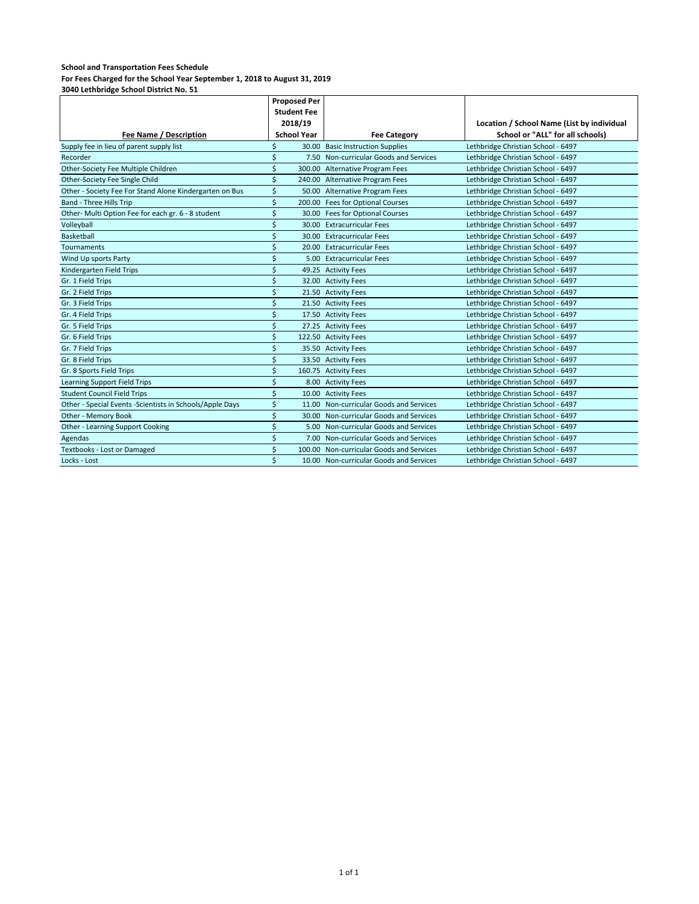**For Fees Charged for the School Year September 1, 2018 to August 31, 2019**

|                                                           | <b>Proposed Per</b> |                    |                                          |                                            |
|-----------------------------------------------------------|---------------------|--------------------|------------------------------------------|--------------------------------------------|
|                                                           |                     | <b>Student Fee</b> |                                          |                                            |
|                                                           |                     | 2018/19            |                                          | Location / School Name (List by individual |
| Fee Name / Description                                    |                     | <b>School Year</b> | <b>Fee Category</b>                      | School or "ALL" for all schools)           |
| Supply fee in lieu of parent supply list                  | Ś                   |                    | 30.00 Basic Instruction Supplies         | Lethbridge Christian School - 6497         |
| Recorder                                                  | Ś                   |                    | 7.50 Non-curricular Goods and Services   | Lethbridge Christian School - 6497         |
| Other-Society Fee Multiple Children                       | \$                  |                    | 300.00 Alternative Program Fees          | Lethbridge Christian School - 6497         |
| Other-Society Fee Single Child                            | Ś                   |                    | 240.00 Alternative Program Fees          | Lethbridge Christian School - 6497         |
| Other - Society Fee For Stand Alone Kindergarten on Bus   | \$                  |                    | 50.00 Alternative Program Fees           | Lethbridge Christian School - 6497         |
| Band - Three Hills Trip                                   | \$                  |                    | 200.00 Fees for Optional Courses         | Lethbridge Christian School - 6497         |
| Other- Multi Option Fee for each gr. 6 - 8 student        | \$                  |                    | 30.00 Fees for Optional Courses          | Lethbridge Christian School - 6497         |
| Volleyball                                                | Ś                   |                    | 30.00 Extracurricular Fees               | Lethbridge Christian School - 6497         |
| Basketball                                                | Ś                   |                    | 30.00 Extracurricular Fees               | Lethbridge Christian School - 6497         |
| <b>Tournaments</b>                                        | \$                  |                    | 20.00 Extracurricular Fees               | Lethbridge Christian School - 6497         |
| Wind Up sports Party                                      | Ś                   |                    | 5.00 Extracurricular Fees                | Lethbridge Christian School - 6497         |
| Kindergarten Field Trips                                  | \$                  |                    | 49.25 Activity Fees                      | Lethbridge Christian School - 6497         |
| Gr. 1 Field Trips                                         | Ś                   |                    | 32.00 Activity Fees                      | Lethbridge Christian School - 6497         |
| Gr. 2 Field Trips                                         | Ś                   |                    | 21.50 Activity Fees                      | Lethbridge Christian School - 6497         |
| Gr. 3 Field Trips                                         | Ś                   |                    | 21.50 Activity Fees                      | Lethbridge Christian School - 6497         |
| Gr. 4 Field Trips                                         | Ś                   |                    | 17.50 Activity Fees                      | Lethbridge Christian School - 6497         |
| Gr. 5 Field Trips                                         | Ś                   |                    | 27.25 Activity Fees                      | Lethbridge Christian School - 6497         |
| Gr. 6 Field Trips                                         | Ś                   |                    | 122.50 Activity Fees                     | Lethbridge Christian School - 6497         |
| Gr. 7 Field Trips                                         | Ś                   |                    | 35.50 Activity Fees                      | Lethbridge Christian School - 6497         |
| Gr. 8 Field Trips                                         | Ś                   |                    | 33.50 Activity Fees                      | Lethbridge Christian School - 6497         |
| Gr. 8 Sports Field Trips                                  | \$                  |                    | 160.75 Activity Fees                     | Lethbridge Christian School - 6497         |
| Learning Support Field Trips                              | Ś                   |                    | 8.00 Activity Fees                       | Lethbridge Christian School - 6497         |
| <b>Student Council Field Trips</b>                        | \$                  |                    | 10.00 Activity Fees                      | Lethbridge Christian School - 6497         |
| Other - Special Events - Scientists in Schools/Apple Days | \$                  |                    | 11.00 Non-curricular Goods and Services  | Lethbridge Christian School - 6497         |
| Other - Memory Book                                       | Ś                   |                    | 30.00 Non-curricular Goods and Services  | Lethbridge Christian School - 6497         |
| Other - Learning Support Cooking                          | Ś                   |                    | 5.00 Non-curricular Goods and Services   | Lethbridge Christian School - 6497         |
| Agendas                                                   | Ś                   |                    | 7.00 Non-curricular Goods and Services   | Lethbridge Christian School - 6497         |
| Textbooks - Lost or Damaged                               | \$                  |                    | 100.00 Non-curricular Goods and Services | Lethbridge Christian School - 6497         |
| Locks - Lost                                              | Ś                   |                    | 10.00 Non-curricular Goods and Services  | Lethbridge Christian School - 6497         |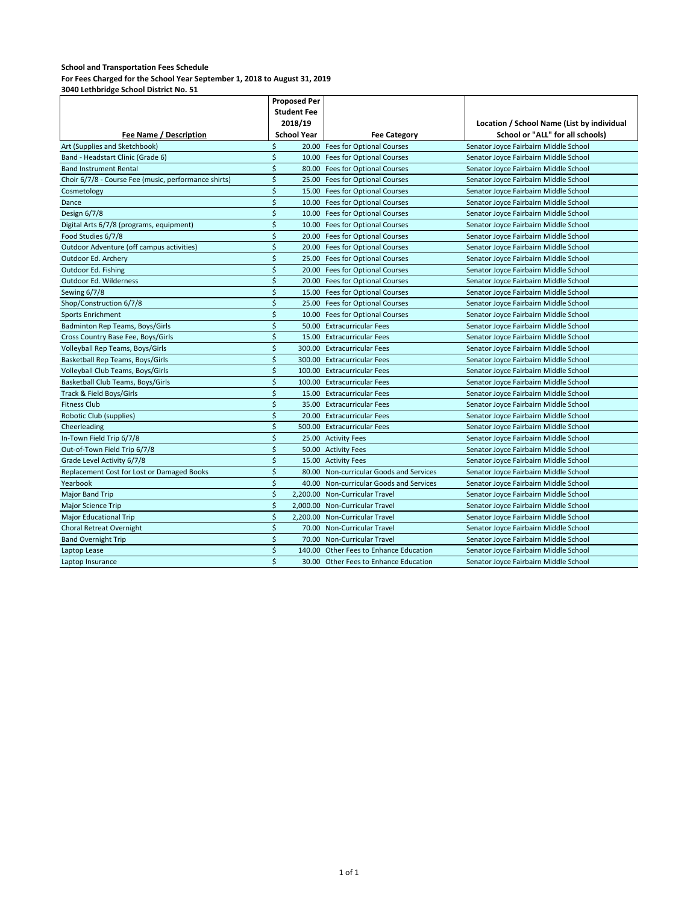**For Fees Charged for the School Year September 1, 2018 to August 31, 2019**

|                                                      | <b>Proposed Per</b> |                    |                                         |                                            |
|------------------------------------------------------|---------------------|--------------------|-----------------------------------------|--------------------------------------------|
|                                                      |                     | <b>Student Fee</b> |                                         |                                            |
|                                                      |                     | 2018/19            |                                         | Location / School Name (List by individual |
| <b>Fee Name / Description</b>                        |                     | <b>School Year</b> | <b>Fee Category</b>                     | School or "ALL" for all schools)           |
| Art (Supplies and Sketchbook)                        | Ś                   |                    | 20.00 Fees for Optional Courses         | Senator Joyce Fairbairn Middle School      |
| Band - Headstart Clinic (Grade 6)                    | \$                  |                    | 10.00 Fees for Optional Courses         | Senator Joyce Fairbairn Middle School      |
| <b>Band Instrument Rental</b>                        | \$                  |                    | 80.00 Fees for Optional Courses         | Senator Joyce Fairbairn Middle School      |
| Choir 6/7/8 - Course Fee (music, performance shirts) | \$                  |                    | 25.00 Fees for Optional Courses         | Senator Joyce Fairbairn Middle School      |
| Cosmetology                                          | \$                  |                    | 15.00 Fees for Optional Courses         | Senator Joyce Fairbairn Middle School      |
| Dance                                                | \$                  |                    | 10.00 Fees for Optional Courses         | Senator Joyce Fairbairn Middle School      |
| Design 6/7/8                                         | \$                  |                    | 10.00 Fees for Optional Courses         | Senator Joyce Fairbairn Middle School      |
| Digital Arts 6/7/8 (programs, equipment)             | \$                  |                    | 10.00 Fees for Optional Courses         | Senator Joyce Fairbairn Middle School      |
| Food Studies 6/7/8                                   | \$                  |                    | 20.00 Fees for Optional Courses         | Senator Joyce Fairbairn Middle School      |
| Outdoor Adventure (off campus activities)            | \$                  |                    | 20.00 Fees for Optional Courses         | Senator Joyce Fairbairn Middle School      |
| Outdoor Ed. Archery                                  | \$                  |                    | 25.00 Fees for Optional Courses         | Senator Joyce Fairbairn Middle School      |
| Outdoor Ed. Fishing                                  | \$                  |                    | 20.00 Fees for Optional Courses         | Senator Joyce Fairbairn Middle School      |
| Outdoor Ed. Wilderness                               | \$                  |                    | 20.00 Fees for Optional Courses         | Senator Joyce Fairbairn Middle School      |
| Sewing 6/7/8                                         | \$                  |                    | 15.00 Fees for Optional Courses         | Senator Joyce Fairbairn Middle School      |
| Shop/Construction 6/7/8                              | \$                  |                    | 25.00 Fees for Optional Courses         | Senator Joyce Fairbairn Middle School      |
| <b>Sports Enrichment</b>                             | \$                  |                    | 10.00 Fees for Optional Courses         | Senator Joyce Fairbairn Middle School      |
| Badminton Rep Teams, Boys/Girls                      | \$                  |                    | 50.00 Extracurricular Fees              | Senator Joyce Fairbairn Middle School      |
| Cross Country Base Fee, Boys/Girls                   | \$                  |                    | 15.00 Extracurricular Fees              | Senator Joyce Fairbairn Middle School      |
| Volleyball Rep Teams, Boys/Girls                     | \$                  |                    | 300.00 Extracurricular Fees             | Senator Joyce Fairbairn Middle School      |
| Basketball Rep Teams, Boys/Girls                     | \$                  |                    | 300.00 Extracurricular Fees             | Senator Joyce Fairbairn Middle School      |
| Volleyball Club Teams, Boys/Girls                    | $\zeta$             |                    | 100.00 Extracurricular Fees             | Senator Joyce Fairbairn Middle School      |
| Basketball Club Teams, Boys/Girls                    | \$                  |                    | 100.00 Extracurricular Fees             | Senator Joyce Fairbairn Middle School      |
| Track & Field Boys/Girls                             | \$                  |                    | 15.00 Extracurricular Fees              | Senator Joyce Fairbairn Middle School      |
| <b>Fitness Club</b>                                  | Ś                   |                    | 35.00 Extracurricular Fees              | Senator Joyce Fairbairn Middle School      |
| Robotic Club (supplies)                              | \$                  |                    | 20.00 Extracurricular Fees              | Senator Joyce Fairbairn Middle School      |
| Cheerleading                                         | \$                  |                    | 500.00 Extracurricular Fees             | Senator Joyce Fairbairn Middle School      |
| In-Town Field Trip 6/7/8                             | \$                  |                    | 25.00 Activity Fees                     | Senator Joyce Fairbairn Middle School      |
| Out-of-Town Field Trip 6/7/8                         | \$                  |                    | 50.00 Activity Fees                     | Senator Joyce Fairbairn Middle School      |
| Grade Level Activity 6/7/8                           | \$                  |                    | 15.00 Activity Fees                     | Senator Joyce Fairbairn Middle School      |
| Replacement Cost for Lost or Damaged Books           | \$                  |                    | 80.00 Non-curricular Goods and Services | Senator Joyce Fairbairn Middle School      |
| Yearbook                                             | \$                  |                    | 40.00 Non-curricular Goods and Services | Senator Joyce Fairbairn Middle School      |
| <b>Major Band Trip</b>                               | \$                  |                    | 2,200.00 Non-Curricular Travel          | Senator Joyce Fairbairn Middle School      |
| Major Science Trip                                   | \$                  |                    | 2,000.00 Non-Curricular Travel          | Senator Joyce Fairbairn Middle School      |
| <b>Major Educational Trip</b>                        | \$                  |                    | 2,200.00 Non-Curricular Travel          | Senator Joyce Fairbairn Middle School      |
| Choral Retreat Overnight                             | \$                  |                    | 70.00 Non-Curricular Travel             | Senator Joyce Fairbairn Middle School      |
| <b>Band Overnight Trip</b>                           | \$                  |                    | 70.00 Non-Curricular Travel             | Senator Joyce Fairbairn Middle School      |
| Laptop Lease                                         | \$                  |                    | 140.00 Other Fees to Enhance Education  | Senator Joyce Fairbairn Middle School      |
| Laptop Insurance                                     | Ś                   |                    | 30.00 Other Fees to Enhance Education   | Senator Joyce Fairbairn Middle School      |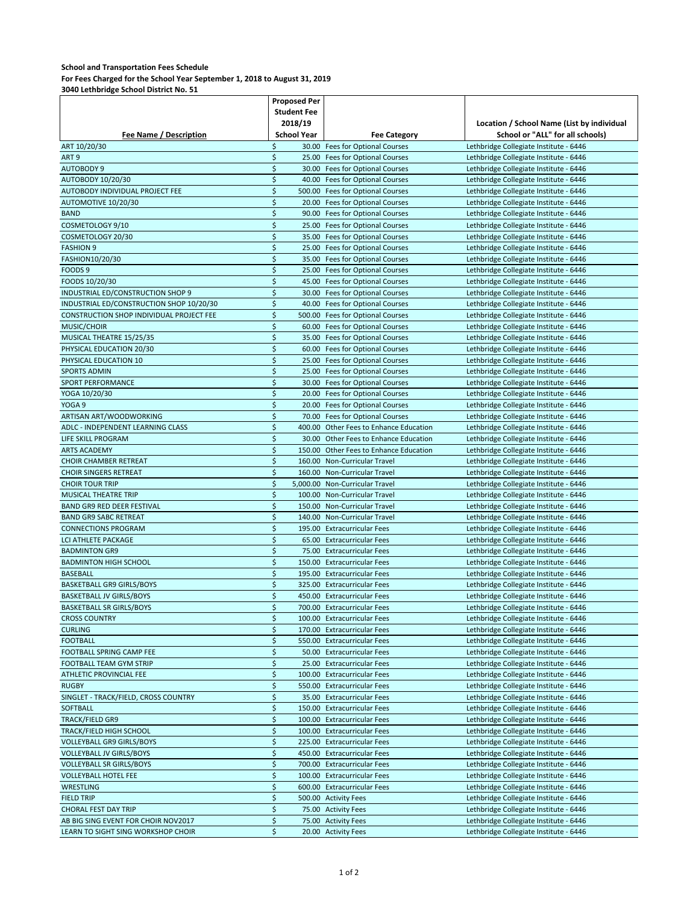**For Fees Charged for the School Year September 1, 2018 to August 31, 2019**

|                                          | Proposed Per |                    |                                        |                                            |
|------------------------------------------|--------------|--------------------|----------------------------------------|--------------------------------------------|
|                                          |              | <b>Student Fee</b> |                                        |                                            |
|                                          |              | 2018/19            |                                        | Location / School Name (List by individual |
| <b>Fee Name / Description</b>            |              | <b>School Year</b> | <b>Fee Category</b>                    | School or "ALL" for all schools)           |
| ART 10/20/30                             | \$           |                    | 30.00 Fees for Optional Courses        | Lethbridge Collegiate Institute - 6446     |
| ART <sub>9</sub>                         | \$           |                    | 25.00 Fees for Optional Courses        | Lethbridge Collegiate Institute - 6446     |
| <b>AUTOBODY 9</b>                        | \$           |                    | 30.00 Fees for Optional Courses        | Lethbridge Collegiate Institute - 6446     |
|                                          | \$           |                    | 40.00 Fees for Optional Courses        |                                            |
| AUTOBODY 10/20/30                        | \$           |                    |                                        | Lethbridge Collegiate Institute - 6446     |
| AUTOBODY INDIVIDUAL PROJECT FEE          |              |                    | 500.00 Fees for Optional Courses       | Lethbridge Collegiate Institute - 6446     |
| AUTOMOTIVE 10/20/30                      | \$           |                    | 20.00 Fees for Optional Courses        | Lethbridge Collegiate Institute - 6446     |
| <b>BAND</b>                              | \$           |                    | 90.00 Fees for Optional Courses        | Lethbridge Collegiate Institute - 6446     |
| COSMETOLOGY 9/10                         | \$           |                    | 25.00 Fees for Optional Courses        | Lethbridge Collegiate Institute - 6446     |
| COSMETOLOGY 20/30                        | \$           |                    | 35.00 Fees for Optional Courses        | Lethbridge Collegiate Institute - 6446     |
| <b>FASHION 9</b>                         | \$           |                    | 25.00 Fees for Optional Courses        | Lethbridge Collegiate Institute - 6446     |
| FASHION10/20/30                          | \$           |                    | 35.00 Fees for Optional Courses        | Lethbridge Collegiate Institute - 6446     |
| FOODS <sub>9</sub>                       | \$           |                    | 25.00 Fees for Optional Courses        | Lethbridge Collegiate Institute - 6446     |
| FOODS 10/20/30                           | \$           |                    | 45.00 Fees for Optional Courses        | Lethbridge Collegiate Institute - 6446     |
| INDUSTRIAL ED/CONSTRUCTION SHOP 9        | \$           |                    | 30.00 Fees for Optional Courses        | Lethbridge Collegiate Institute - 6446     |
| INDUSTRIAL ED/CONSTRUCTION SHOP 10/20/30 | \$           |                    | 40.00 Fees for Optional Courses        | Lethbridge Collegiate Institute - 6446     |
| CONSTRUCTION SHOP INDIVIDUAL PROJECT FEE | \$           |                    | 500.00 Fees for Optional Courses       | Lethbridge Collegiate Institute - 6446     |
| MUSIC/CHOIR                              | \$           |                    | 60.00 Fees for Optional Courses        | Lethbridge Collegiate Institute - 6446     |
| MUSICAL THEATRE 15/25/35                 | \$           |                    | 35.00 Fees for Optional Courses        | Lethbridge Collegiate Institute - 6446     |
| PHYSICAL EDUCATION 20/30                 | \$           |                    | 60.00 Fees for Optional Courses        | Lethbridge Collegiate Institute - 6446     |
|                                          | \$           |                    |                                        |                                            |
| PHYSICAL EDUCATION 10                    |              |                    | 25.00 Fees for Optional Courses        | Lethbridge Collegiate Institute - 6446     |
| <b>SPORTS ADMIN</b>                      | \$           |                    | 25.00 Fees for Optional Courses        | Lethbridge Collegiate Institute - 6446     |
| SPORT PERFORMANCE                        | \$           |                    | 30.00 Fees for Optional Courses        | Lethbridge Collegiate Institute - 6446     |
| YOGA 10/20/30                            | \$           |                    | 20.00 Fees for Optional Courses        | Lethbridge Collegiate Institute - 6446     |
| YOGA 9                                   | \$           |                    | 20.00 Fees for Optional Courses        | Lethbridge Collegiate Institute - 6446     |
| ARTISAN ART/WOODWORKING                  | \$           |                    | 70.00 Fees for Optional Courses        | Lethbridge Collegiate Institute - 6446     |
| ADLC - INDEPENDENT LEARNING CLASS        | \$           |                    | 400.00 Other Fees to Enhance Education | Lethbridge Collegiate Institute - 6446     |
| <b>LIFE SKILL PROGRAM</b>                | \$           |                    | 30.00 Other Fees to Enhance Education  | Lethbridge Collegiate Institute - 6446     |
| <b>ARTS ACADEMY</b>                      | \$           |                    | 150.00 Other Fees to Enhance Education | Lethbridge Collegiate Institute - 6446     |
| <b>CHOIR CHAMBER RETREAT</b>             | \$           |                    | 160.00 Non-Curricular Travel           | Lethbridge Collegiate Institute - 6446     |
| <b>CHOIR SINGERS RETREAT</b>             | \$           |                    | 160.00 Non-Curricular Travel           | Lethbridge Collegiate Institute - 6446     |
| <b>CHOIR TOUR TRIP</b>                   | \$           |                    | 5,000.00 Non-Curricular Travel         | Lethbridge Collegiate Institute - 6446     |
| MUSICAL THEATRE TRIP                     | \$           |                    | 100.00 Non-Curricular Travel           | Lethbridge Collegiate Institute - 6446     |
| BAND GR9 RED DEER FESTIVAL               | \$           |                    | 150.00 Non-Curricular Travel           | Lethbridge Collegiate Institute - 6446     |
| <b>BAND GR9 SABC RETREAT</b>             | \$           |                    | 140.00 Non-Curricular Travel           | Lethbridge Collegiate Institute - 6446     |
| <b>CONNECTIONS PROGRAM</b>               | \$           |                    | 195.00 Extracurricular Fees            | Lethbridge Collegiate Institute - 6446     |
| <b>LCI ATHLETE PACKAGE</b>               | \$           |                    | 65.00 Extracurricular Fees             | Lethbridge Collegiate Institute - 6446     |
| <b>BADMINTON GR9</b>                     | \$           |                    | 75.00 Extracurricular Fees             | Lethbridge Collegiate Institute - 6446     |
| <b>BADMINTON HIGH SCHOOL</b>             | \$           |                    | 150.00 Extracurricular Fees            |                                            |
|                                          |              |                    |                                        | Lethbridge Collegiate Institute - 6446     |
| <b>BASEBALL</b>                          | \$           |                    | 195.00 Extracurricular Fees            | Lethbridge Collegiate Institute - 6446     |
| <b>BASKETBALL GR9 GIRLS/BOYS</b>         | \$           |                    | 325.00 Extracurricular Fees            | Lethbridge Collegiate Institute - 6446     |
| <b>BASKETBALL JV GIRLS/BOYS</b>          | \$           |                    | 450.00 Extracurricular Fees            | Lethbridge Collegiate Institute - 6446     |
| <b>BASKETBALL SR GIRLS/BOYS</b>          | \$           |                    | 700.00 Extracurricular Fees            | Lethbridge Collegiate Institute - 6446     |
| <b>CROSS COUNTRY</b>                     | \$           |                    | 100.00 Extracurricular Fees            | Lethbridge Collegiate Institute - 6446     |
| <b>CURLING</b>                           | \$           |                    | 170.00 Extracurricular Fees            | Lethbridge Collegiate Institute - 6446     |
| <b>FOOTBALL</b>                          | \$           |                    | 550.00 Extracurricular Fees            | Lethbridge Collegiate Institute - 6446     |
| FOOTBALL SPRING CAMP FEE                 | \$           |                    | 50.00 Extracurricular Fees             | Lethbridge Collegiate Institute - 6446     |
| FOOTBALL TEAM GYM STRIP                  | \$           |                    | 25.00 Extracurricular Fees             | Lethbridge Collegiate Institute - 6446     |
| ATHLETIC PROVINCIAL FEE                  | \$           |                    | 100.00 Extracurricular Fees            | Lethbridge Collegiate Institute - 6446     |
| <b>RUGBY</b>                             | \$           |                    | 550.00 Extracurricular Fees            | Lethbridge Collegiate Institute - 6446     |
| SINGLET - TRACK/FIELD, CROSS COUNTRY     | \$           |                    | 35.00 Extracurricular Fees             | Lethbridge Collegiate Institute - 6446     |
| <b>SOFTBALL</b>                          | \$           |                    | 150.00 Extracurricular Fees            | Lethbridge Collegiate Institute - 6446     |
| <b>TRACK/FIELD GR9</b>                   | \$           |                    | 100.00 Extracurricular Fees            | Lethbridge Collegiate Institute - 6446     |
| TRACK/FIELD HIGH SCHOOL                  | \$           |                    | 100.00 Extracurricular Fees            | Lethbridge Collegiate Institute - 6446     |
| <b>VOLLEYBALL GR9 GIRLS/BOYS</b>         | \$           |                    | 225.00 Extracurricular Fees            | Lethbridge Collegiate Institute - 6446     |
| <b>VOLLEYBALL JV GIRLS/BOYS</b>          | \$           |                    | 450.00 Extracurricular Fees            | Lethbridge Collegiate Institute - 6446     |
| <b>VOLLEYBALL SR GIRLS/BOYS</b>          | \$           |                    | 700.00 Extracurricular Fees            | Lethbridge Collegiate Institute - 6446     |
|                                          |              |                    |                                        |                                            |
| <b>VOLLEYBALL HOTEL FEE</b>              | \$           |                    | 100.00 Extracurricular Fees            | Lethbridge Collegiate Institute - 6446     |
| WRESTLING                                | \$           |                    | 600.00 Extracurricular Fees            | Lethbridge Collegiate Institute - 6446     |
| <b>FIELD TRIP</b>                        | \$           |                    | 500.00 Activity Fees                   | Lethbridge Collegiate Institute - 6446     |
| CHORAL FEST DAY TRIP                     | \$           |                    | 75.00 Activity Fees                    | Lethbridge Collegiate Institute - 6446     |
| AB BIG SING EVENT FOR CHOIR NOV2017      | \$           |                    | 75.00 Activity Fees                    | Lethbridge Collegiate Institute - 6446     |
| LEARN TO SIGHT SING WORKSHOP CHOIR       | \$           |                    | 20.00 Activity Fees                    | Lethbridge Collegiate Institute - 6446     |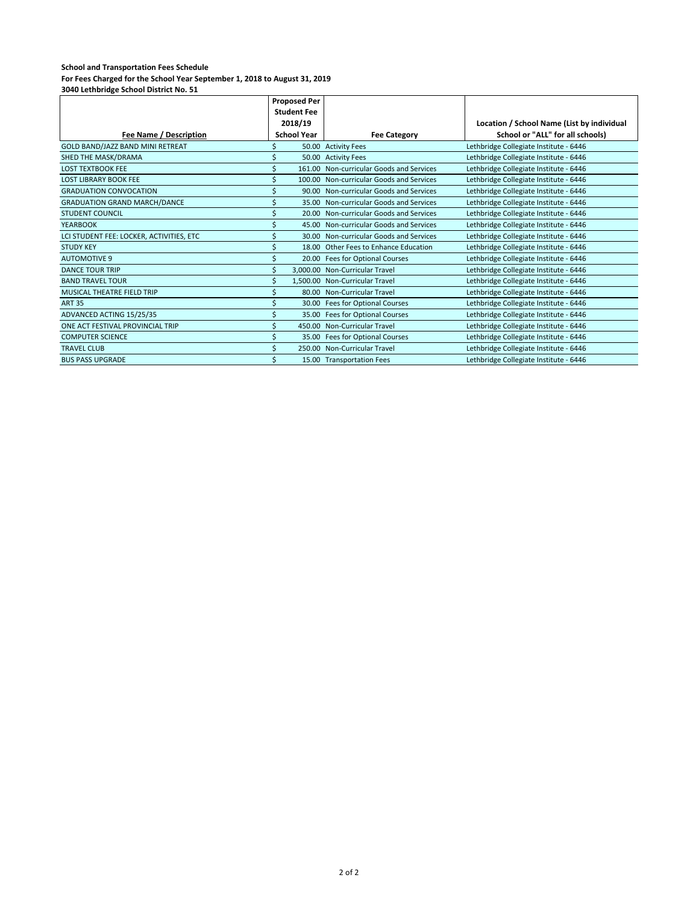|                                          | <b>Proposed Per</b> |                    |                                          |                                            |
|------------------------------------------|---------------------|--------------------|------------------------------------------|--------------------------------------------|
|                                          |                     | <b>Student Fee</b> |                                          |                                            |
|                                          |                     | 2018/19            |                                          | Location / School Name (List by individual |
| Fee Name / Description                   |                     | <b>School Year</b> | <b>Fee Category</b>                      | School or "ALL" for all schools)           |
| GOLD BAND/JAZZ BAND MINI RETREAT         |                     |                    | 50.00 Activity Fees                      | Lethbridge Collegiate Institute - 6446     |
| SHED THE MASK/DRAMA                      |                     |                    | 50.00 Activity Fees                      | Lethbridge Collegiate Institute - 6446     |
| <b>LOST TEXTBOOK FEE</b>                 |                     |                    | 161.00 Non-curricular Goods and Services | Lethbridge Collegiate Institute - 6446     |
| <b>LOST LIBRARY BOOK FEE</b>             |                     |                    | 100.00 Non-curricular Goods and Services | Lethbridge Collegiate Institute - 6446     |
| <b>GRADUATION CONVOCATION</b>            |                     |                    | 90.00 Non-curricular Goods and Services  | Lethbridge Collegiate Institute - 6446     |
| <b>GRADUATION GRAND MARCH/DANCE</b>      |                     |                    | 35.00 Non-curricular Goods and Services  | Lethbridge Collegiate Institute - 6446     |
| <b>STUDENT COUNCIL</b>                   |                     |                    | 20.00 Non-curricular Goods and Services  | Lethbridge Collegiate Institute - 6446     |
| YEARBOOK                                 |                     |                    | 45.00 Non-curricular Goods and Services  | Lethbridge Collegiate Institute - 6446     |
| LCI STUDENT FEE: LOCKER, ACTIVITIES, ETC |                     |                    | 30.00 Non-curricular Goods and Services  | Lethbridge Collegiate Institute - 6446     |
| <b>STUDY KEY</b>                         |                     |                    | 18.00 Other Fees to Enhance Education    | Lethbridge Collegiate Institute - 6446     |
| <b>AUTOMOTIVE 9</b>                      |                     |                    | 20.00 Fees for Optional Courses          | Lethbridge Collegiate Institute - 6446     |
| <b>DANCE TOUR TRIP</b>                   |                     |                    | 3,000.00 Non-Curricular Travel           | Lethbridge Collegiate Institute - 6446     |
| <b>BAND TRAVEL TOUR</b>                  |                     |                    | 1,500.00 Non-Curricular Travel           | Lethbridge Collegiate Institute - 6446     |
| <b>MUSICAL THEATRE FIELD TRIP</b>        |                     |                    | 80.00 Non-Curricular Travel              | Lethbridge Collegiate Institute - 6446     |
| <b>ART 35</b>                            |                     |                    | 30.00 Fees for Optional Courses          | Lethbridge Collegiate Institute - 6446     |
| ADVANCED ACTING 15/25/35                 |                     |                    | 35.00 Fees for Optional Courses          | Lethbridge Collegiate Institute - 6446     |
| ONE ACT FESTIVAL PROVINCIAL TRIP         |                     |                    | 450.00 Non-Curricular Travel             | Lethbridge Collegiate Institute - 6446     |
| <b>COMPUTER SCIENCE</b>                  |                     |                    | 35.00 Fees for Optional Courses          | Lethbridge Collegiate Institute - 6446     |
| <b>TRAVEL CLUB</b>                       |                     |                    | 250.00 Non-Curricular Travel             | Lethbridge Collegiate Institute - 6446     |
| <b>BUS PASS UPGRADE</b>                  |                     |                    | 15.00 Transportation Fees                | Lethbridge Collegiate Institute - 6446     |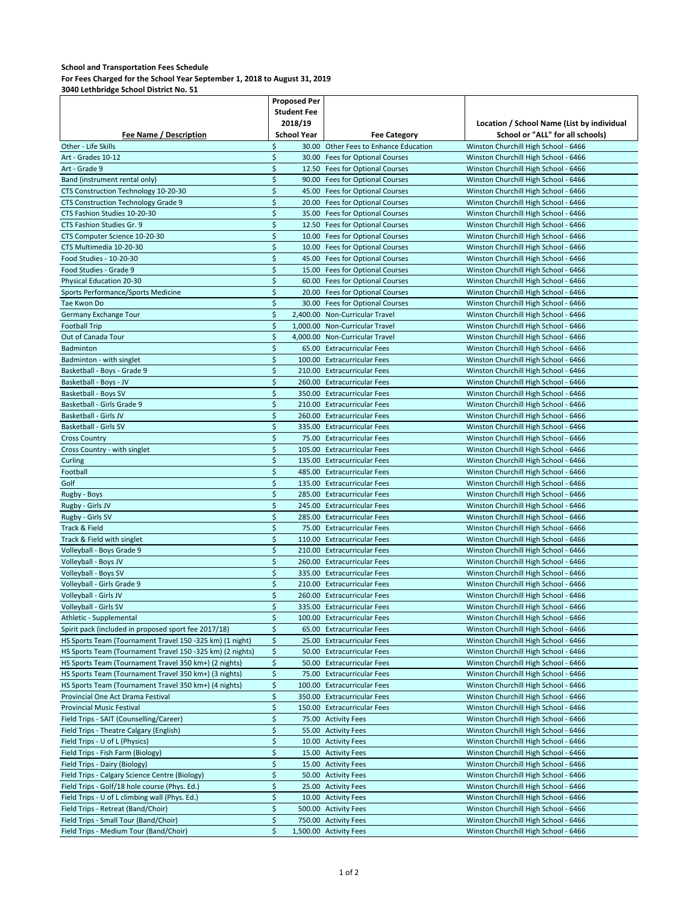## **For Fees Charged for the School Year September 1, 2018 to August 31, 2019**

|                                                           | Proposed Per       |                    |                                       |                                            |
|-----------------------------------------------------------|--------------------|--------------------|---------------------------------------|--------------------------------------------|
|                                                           | <b>Student Fee</b> |                    |                                       |                                            |
|                                                           |                    | 2018/19            |                                       | Location / School Name (List by individual |
| <b>Fee Name / Description</b>                             |                    | <b>School Year</b> | <b>Fee Category</b>                   | School or "ALL" for all schools)           |
| Other - Life Skills                                       | \$                 |                    | 30.00 Other Fees to Enhance Education | Winston Churchill High School - 6466       |
| Art - Grades 10-12                                        | \$                 |                    | 30.00 Fees for Optional Courses       | Winston Churchill High School - 6466       |
| Art - Grade 9                                             | \$                 |                    | 12.50 Fees for Optional Courses       | Winston Churchill High School - 6466       |
| Band (instrument rental only)                             | \$                 |                    | 90.00 Fees for Optional Courses       | Winston Churchill High School - 6466       |
| CTS Construction Technology 10-20-30                      | \$                 |                    | 45.00 Fees for Optional Courses       | Winston Churchill High School - 6466       |
|                                                           |                    |                    |                                       |                                            |
| CTS Construction Technology Grade 9                       | \$                 |                    | 20.00 Fees for Optional Courses       | Winston Churchill High School - 6466       |
| CTS Fashion Studies 10-20-30                              | \$                 |                    | 35.00 Fees for Optional Courses       | Winston Churchill High School - 6466       |
| CTS Fashion Studies Gr. 9                                 | \$                 |                    | 12.50 Fees for Optional Courses       | Winston Churchill High School - 6466       |
| CTS Computer Science 10-20-30                             | \$                 |                    | 10.00 Fees for Optional Courses       | Winston Churchill High School - 6466       |
| CTS Multimedia 10-20-30                                   | \$                 |                    | 10.00 Fees for Optional Courses       | Winston Churchill High School - 6466       |
| Food Studies - 10-20-30                                   | \$                 |                    | 45.00 Fees for Optional Courses       | Winston Churchill High School - 6466       |
| Food Studies - Grade 9                                    | \$                 |                    | 15.00 Fees for Optional Courses       | Winston Churchill High School - 6466       |
| Physical Education 20-30                                  | \$                 |                    | 60.00 Fees for Optional Courses       | Winston Churchill High School - 6466       |
| Sports Performance/Sports Medicine                        | \$                 |                    | 20.00 Fees for Optional Courses       | Winston Churchill High School - 6466       |
| Tae Kwon Do                                               | \$                 |                    | 30.00 Fees for Optional Courses       | Winston Churchill High School - 6466       |
| Germany Exchange Tour                                     | \$                 |                    | 2,400.00 Non-Curricular Travel        | Winston Churchill High School - 6466       |
| <b>Football Trip</b>                                      | \$                 |                    | 1,000.00 Non-Curricular Travel        | Winston Churchill High School - 6466       |
| Out of Canada Tour                                        | \$                 |                    | 4,000.00 Non-Curricular Travel        | Winston Churchill High School - 6466       |
| Badminton                                                 | \$                 |                    | 65.00 Extracurricular Fees            | Winston Churchill High School - 6466       |
| Badminton - with singlet                                  | \$                 |                    | 100.00 Extracurricular Fees           | Winston Churchill High School - 6466       |
| Basketball - Boys - Grade 9                               | \$                 |                    | 210.00 Extracurricular Fees           | Winston Churchill High School - 6466       |
| Basketball - Boys - JV                                    | \$                 |                    | 260.00 Extracurricular Fees           | Winston Churchill High School - 6466       |
|                                                           |                    |                    | 350.00 Extracurricular Fees           |                                            |
| Basketball - Boys SV                                      | \$<br>\$           |                    |                                       | Winston Churchill High School - 6466       |
| Basketball - Girls Grade 9                                |                    |                    | 210.00 Extracurricular Fees           | Winston Churchill High School - 6466       |
| Basketball - Girls JV                                     | \$                 |                    | 260.00 Extracurricular Fees           | Winston Churchill High School - 6466       |
| <b>Basketball - Girls SV</b>                              | \$                 |                    | 335.00 Extracurricular Fees           | Winston Churchill High School - 6466       |
| <b>Cross Country</b>                                      | \$                 |                    | 75.00 Extracurricular Fees            | Winston Churchill High School - 6466       |
| Cross Country - with singlet                              | \$                 |                    | 105.00 Extracurricular Fees           | Winston Churchill High School - 6466       |
| Curling                                                   | \$                 |                    | 135.00 Extracurricular Fees           | Winston Churchill High School - 6466       |
| Football                                                  | \$                 |                    | 485.00 Extracurricular Fees           | Winston Churchill High School - 6466       |
| Golf                                                      | \$                 |                    | 135.00 Extracurricular Fees           | Winston Churchill High School - 6466       |
| Rugby - Boys                                              | \$                 |                    | 285.00 Extracurricular Fees           | Winston Churchill High School - 6466       |
| Rugby - Girls JV                                          | \$                 |                    | 245.00 Extracurricular Fees           | Winston Churchill High School - 6466       |
| Rugby - Girls SV                                          | \$                 |                    | 285.00 Extracurricular Fees           | Winston Churchill High School - 6466       |
| Track & Field                                             | \$                 |                    | 75.00 Extracurricular Fees            | Winston Churchill High School - 6466       |
| Track & Field with singlet                                | \$                 |                    | 110.00 Extracurricular Fees           | Winston Churchill High School - 6466       |
| Volleyball - Boys Grade 9                                 | \$                 |                    | 210.00 Extracurricular Fees           | Winston Churchill High School - 6466       |
| Volleyball - Boys JV                                      | \$                 |                    | 260.00 Extracurricular Fees           | Winston Churchill High School - 6466       |
| Volleyball - Boys SV                                      | \$                 |                    | 335.00 Extracurricular Fees           | Winston Churchill High School - 6466       |
|                                                           | \$                 |                    | 210.00 Extracurricular Fees           | Winston Churchill High School - 6466       |
| Volleyball - Girls Grade 9                                | \$                 |                    |                                       |                                            |
| Volleyball - Girls JV                                     | Ś                  |                    | 260.00 Extracurricular Fees           | Winston Churchill High School - 6466       |
| Volleyball - Girls SV                                     |                    |                    | 335.00 Extracurricular Fees           | Winston Churchill High School - 6466       |
| Athletic - Supplemental                                   | \$                 |                    | 100.00 Extracurricular Fees           | Winston Churchill High School - 6466       |
| Spirit pack (included in proposed sport fee 2017/18)      | \$                 |                    | 65.00 Extracurricular Fees            | Winston Churchill High School - 6466       |
| HS Sports Team (Tournament Travel 150 -325 km) (1 night)  | \$                 |                    | 25.00 Extracurricular Fees            | Winston Churchill High School - 6466       |
| HS Sports Team (Tournament Travel 150 -325 km) (2 nights) | \$                 |                    | 50.00 Extracurricular Fees            | Winston Churchill High School - 6466       |
| HS Sports Team (Tournament Travel 350 km+) (2 nights)     | \$                 |                    | 50.00 Extracurricular Fees            | Winston Churchill High School - 6466       |
| HS Sports Team (Tournament Travel 350 km+) (3 nights)     | \$                 |                    | 75.00 Extracurricular Fees            | Winston Churchill High School - 6466       |
| HS Sports Team (Tournament Travel 350 km+) (4 nights)     | \$                 |                    | 100.00 Extracurricular Fees           | Winston Churchill High School - 6466       |
| Provincial One Act Drama Festival                         | \$                 |                    | 350.00 Extracurricular Fees           | Winston Churchill High School - 6466       |
| <b>Provincial Music Festival</b>                          | \$                 |                    | 150.00 Extracurricular Fees           | Winston Churchill High School - 6466       |
| Field Trips - SAIT (Counselling/Career)                   | \$                 |                    | 75.00 Activity Fees                   | Winston Churchill High School - 6466       |
| Field Trips - Theatre Calgary (English)                   | \$                 |                    | 55.00 Activity Fees                   | Winston Churchill High School - 6466       |
| Field Trips - U of L (Physics)                            | \$                 |                    | 10.00 Activity Fees                   | Winston Churchill High School - 6466       |
| Field Trips - Fish Farm (Biology)                         | \$                 |                    | 15.00 Activity Fees                   | Winston Churchill High School - 6466       |
| Field Trips - Dairy (Biology)                             | \$                 |                    | 15.00 Activity Fees                   | Winston Churchill High School - 6466       |
| Field Trips - Calgary Science Centre (Biology)            | \$                 |                    |                                       | Winston Churchill High School - 6466       |
|                                                           | \$                 |                    | 50.00 Activity Fees                   |                                            |
| Field Trips - Golf/18 hole course (Phys. Ed.)             |                    |                    | 25.00 Activity Fees                   | Winston Churchill High School - 6466       |
| Field Trips - U of L climbing wall (Phys. Ed.)            | \$                 |                    | 10.00 Activity Fees                   | Winston Churchill High School - 6466       |
| Field Trips - Retreat (Band/Choir)                        | \$                 |                    | 500.00 Activity Fees                  | Winston Churchill High School - 6466       |
| Field Trips - Small Tour (Band/Choir)                     | \$                 |                    | 750.00 Activity Fees                  | Winston Churchill High School - 6466       |
| Field Trips - Medium Tour (Band/Choir)                    | \$                 |                    | 1,500.00 Activity Fees                | Winston Churchill High School - 6466       |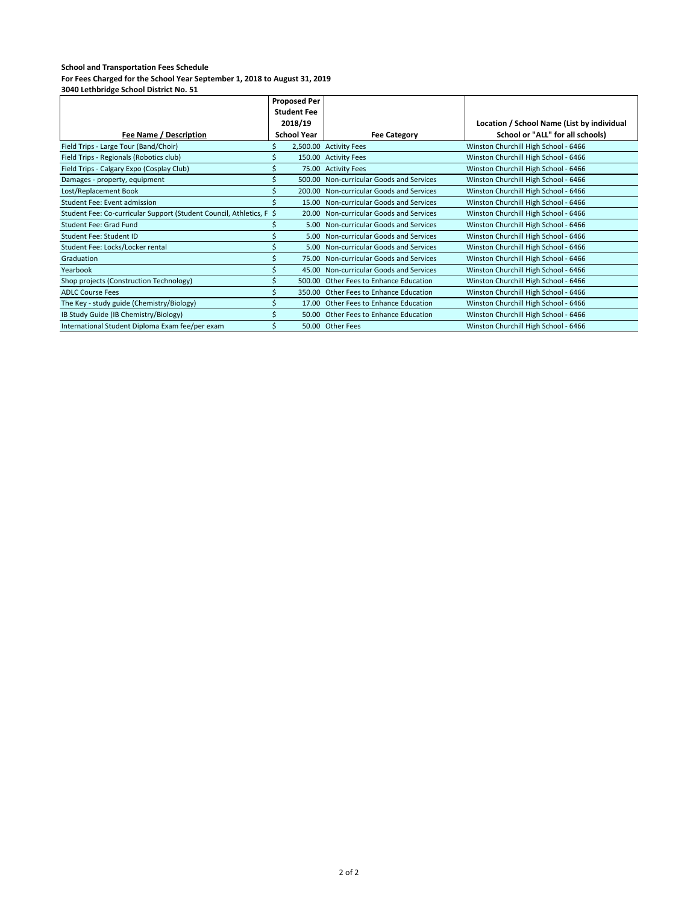|                                                                      | <b>Proposed Per</b> |                    |                                          |                                            |
|----------------------------------------------------------------------|---------------------|--------------------|------------------------------------------|--------------------------------------------|
|                                                                      |                     | <b>Student Fee</b> |                                          |                                            |
|                                                                      |                     | 2018/19            |                                          | Location / School Name (List by individual |
| Fee Name / Description                                               |                     | <b>School Year</b> | <b>Fee Category</b>                      | School or "ALL" for all schools)           |
| Field Trips - Large Tour (Band/Choir)                                |                     |                    | 2,500.00 Activity Fees                   | Winston Churchill High School - 6466       |
| Field Trips - Regionals (Robotics club)                              |                     |                    | 150.00 Activity Fees                     | Winston Churchill High School - 6466       |
| Field Trips - Calgary Expo (Cosplay Club)                            |                     |                    | 75.00 Activity Fees                      | Winston Churchill High School - 6466       |
| Damages - property, equipment                                        |                     |                    | 500.00 Non-curricular Goods and Services | Winston Churchill High School - 6466       |
| Lost/Replacement Book                                                |                     |                    | 200.00 Non-curricular Goods and Services | Winston Churchill High School - 6466       |
| Student Fee: Event admission                                         |                     |                    | 15.00 Non-curricular Goods and Services  | Winston Churchill High School - 6466       |
| Student Fee: Co-curricular Support (Student Council, Athletics, F \$ |                     |                    | 20.00 Non-curricular Goods and Services  | Winston Churchill High School - 6466       |
| Student Fee: Grad Fund                                               |                     |                    | 5.00 Non-curricular Goods and Services   | Winston Churchill High School - 6466       |
| Student Fee: Student ID                                              |                     |                    | 5.00 Non-curricular Goods and Services   | Winston Churchill High School - 6466       |
| Student Fee: Locks/Locker rental                                     |                     |                    | 5.00 Non-curricular Goods and Services   | Winston Churchill High School - 6466       |
| Graduation                                                           |                     |                    | 75.00 Non-curricular Goods and Services  | Winston Churchill High School - 6466       |
| Yearbook                                                             |                     |                    | 45.00 Non-curricular Goods and Services  | Winston Churchill High School - 6466       |
| Shop projects (Construction Technology)                              |                     | 500.00             | Other Fees to Enhance Education          | Winston Churchill High School - 6466       |
| <b>ADLC Course Fees</b>                                              |                     | 350.00             | Other Fees to Enhance Education          | Winston Churchill High School - 6466       |
| The Key - study guide (Chemistry/Biology)                            |                     |                    | 17.00 Other Fees to Enhance Education    | Winston Churchill High School - 6466       |
| IB Study Guide (IB Chemistry/Biology)                                |                     |                    | 50.00 Other Fees to Enhance Education    | Winston Churchill High School - 6466       |
| International Student Diploma Exam fee/per exam                      |                     |                    | 50.00 Other Fees                         | Winston Churchill High School - 6466       |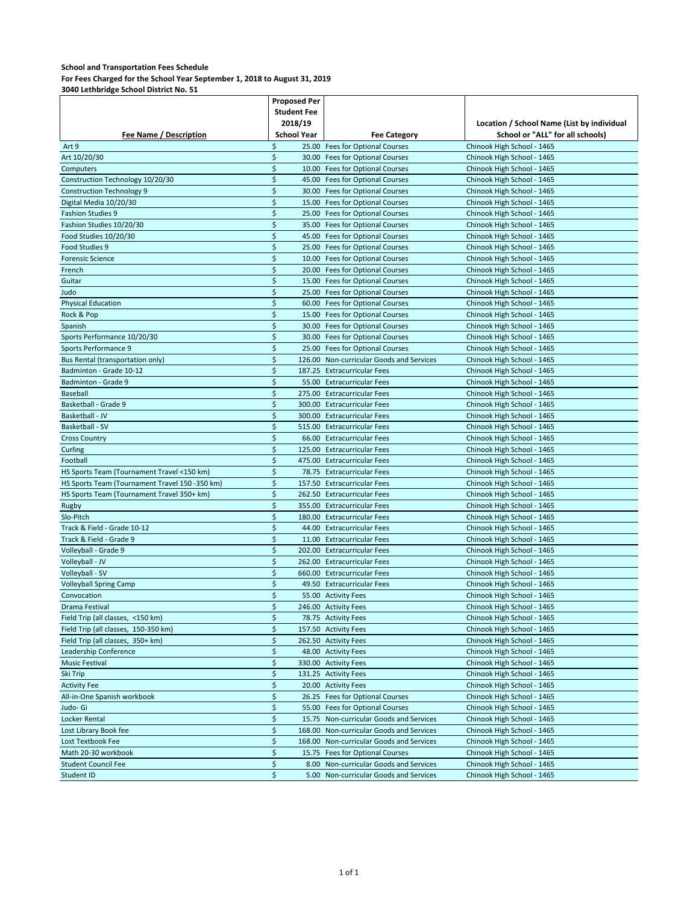## **For Fees Charged for the School Year September 1, 2018 to August 31, 2019**

|                                                | <b>Proposed Per</b> |  |                                                                    |                                            |
|------------------------------------------------|---------------------|--|--------------------------------------------------------------------|--------------------------------------------|
|                                                | <b>Student Fee</b>  |  |                                                                    |                                            |
|                                                | 2018/19             |  |                                                                    | Location / School Name (List by individual |
| Fee Name / Description                         | <b>School Year</b>  |  | <b>Fee Category</b>                                                | School or "ALL" for all schools)           |
| Art 9                                          | \$                  |  | 25.00 Fees for Optional Courses                                    | Chinook High School - 1465                 |
| Art 10/20/30                                   | \$                  |  | 30.00 Fees for Optional Courses                                    | Chinook High School - 1465                 |
| Computers                                      | \$                  |  | 10.00 Fees for Optional Courses                                    | Chinook High School - 1465                 |
| Construction Technology 10/20/30               | \$                  |  | 45.00 Fees for Optional Courses                                    | Chinook High School - 1465                 |
| <b>Construction Technology 9</b>               | \$                  |  | 30.00 Fees for Optional Courses                                    | Chinook High School - 1465                 |
| Digital Media 10/20/30                         | \$                  |  | 15.00 Fees for Optional Courses                                    | Chinook High School - 1465                 |
| <b>Fashion Studies 9</b>                       | \$                  |  | 25.00 Fees for Optional Courses                                    | Chinook High School - 1465                 |
| Fashion Studies 10/20/30                       | \$                  |  | 35.00 Fees for Optional Courses                                    | Chinook High School - 1465                 |
| Food Studies 10/20/30                          | \$                  |  | 45.00 Fees for Optional Courses                                    | Chinook High School - 1465                 |
| Food Studies 9                                 | \$                  |  | 25.00 Fees for Optional Courses                                    | Chinook High School - 1465                 |
| <b>Forensic Science</b>                        | \$                  |  | 10.00 Fees for Optional Courses                                    | Chinook High School - 1465                 |
| French                                         | \$                  |  | 20.00 Fees for Optional Courses                                    | Chinook High School - 1465                 |
| Guitar                                         | \$                  |  | 15.00 Fees for Optional Courses                                    | Chinook High School - 1465                 |
| Judo                                           | \$                  |  | 25.00 Fees for Optional Courses                                    | Chinook High School - 1465                 |
| <b>Physical Education</b>                      | \$                  |  | 60.00 Fees for Optional Courses                                    | Chinook High School - 1465                 |
| Rock & Pop                                     | \$                  |  | 15.00 Fees for Optional Courses                                    |                                            |
|                                                | \$                  |  | 30.00 Fees for Optional Courses                                    | Chinook High School - 1465                 |
| Spanish                                        |                     |  |                                                                    | Chinook High School - 1465                 |
| Sports Performance 10/20/30                    | \$<br>\$            |  | 30.00 Fees for Optional Courses<br>25.00 Fees for Optional Courses | Chinook High School - 1465                 |
| Sports Performance 9                           | \$                  |  |                                                                    | Chinook High School - 1465                 |
| Bus Rental (transportation only)               |                     |  | 126.00 Non-curricular Goods and Services                           | Chinook High School - 1465                 |
| Badminton - Grade 10-12                        | \$                  |  | 187.25 Extracurricular Fees                                        | Chinook High School - 1465                 |
| Badminton - Grade 9                            | \$                  |  | 55.00 Extracurricular Fees                                         | Chinook High School - 1465                 |
| Baseball                                       | \$                  |  | 275.00 Extracurricular Fees                                        | Chinook High School - 1465                 |
| Basketball - Grade 9                           | \$                  |  | 300.00 Extracurricular Fees                                        | Chinook High School - 1465                 |
| Basketball - JV                                | \$                  |  | 300.00 Extracurricular Fees                                        | Chinook High School - 1465                 |
| Basketball - SV                                | \$                  |  | 515.00 Extracurricular Fees                                        | Chinook High School - 1465                 |
| <b>Cross Country</b>                           | \$                  |  | 66.00 Extracurricular Fees                                         | Chinook High School - 1465                 |
| Curling                                        | \$                  |  | 125.00 Extracurricular Fees                                        | Chinook High School - 1465                 |
| Football                                       | \$                  |  | 475.00 Extracurricular Fees                                        | Chinook High School - 1465                 |
| HS Sports Team (Tournament Travel <150 km)     | \$                  |  | 78.75 Extracurricular Fees                                         | Chinook High School - 1465                 |
| HS Sports Team (Tournament Travel 150 -350 km) | \$                  |  | 157.50 Extracurricular Fees                                        | Chinook High School - 1465                 |
| HS Sports Team (Tournament Travel 350+ km)     | \$                  |  | 262.50 Extracurricular Fees                                        | Chinook High School - 1465                 |
| Rugby                                          | \$                  |  | 355.00 Extracurricular Fees                                        | Chinook High School - 1465                 |
| Slo-Pitch                                      | \$                  |  | 180.00 Extracurricular Fees                                        | Chinook High School - 1465                 |
| Track & Field - Grade 10-12                    | \$                  |  | 44.00 Extracurricular Fees                                         | Chinook High School - 1465                 |
| Track & Field - Grade 9                        | \$                  |  | 11.00 Extracurricular Fees                                         | Chinook High School - 1465                 |
| Volleyball - Grade 9                           | \$                  |  | 202.00 Extracurricular Fees                                        | Chinook High School - 1465                 |
| Volleyball - JV                                | \$                  |  | 262.00 Extracurricular Fees                                        | Chinook High School - 1465                 |
| Volleyball - SV                                | \$                  |  | 660.00 Extracurricular Fees                                        | Chinook High School - 1465                 |
| <b>Volleyball Spring Camp</b>                  | \$                  |  | 49.50 Extracurricular Fees                                         | Chinook High School - 1465                 |
| Convocation                                    | \$                  |  | 55.00 Activity Fees                                                | Chinook High School - 1465                 |
| Drama Festival                                 | \$                  |  | 246.00 Activity Fees                                               | Chinook High School - 1465                 |
| Field Trip (all classes, <150 km)              | \$                  |  | 78.75 Activity Fees                                                | Chinook High School - 1465                 |
| Field Trip (all classes, 150-350 km)           | \$                  |  | 157.50 Activity Fees                                               | Chinook High School - 1465                 |
| Field Trip (all classes, 350+ km)              | \$                  |  | 262.50 Activity Fees                                               | Chinook High School - 1465                 |
| Leadership Conference                          | \$                  |  | 48.00 Activity Fees                                                | Chinook High School - 1465                 |
| <b>Music Festival</b>                          | \$                  |  | 330.00 Activity Fees                                               | Chinook High School - 1465                 |
| Ski Trip                                       | \$                  |  | 131.25 Activity Fees                                               | Chinook High School - 1465                 |
| <b>Activity Fee</b>                            | \$                  |  | 20.00 Activity Fees                                                | Chinook High School - 1465                 |
| All-in-One Spanish workbook                    | \$                  |  | 26.25 Fees for Optional Courses                                    | Chinook High School - 1465                 |
| Judo- Gi                                       | \$                  |  | 55.00 Fees for Optional Courses                                    | Chinook High School - 1465                 |
| Locker Rental                                  | \$                  |  | 15.75 Non-curricular Goods and Services                            | Chinook High School - 1465                 |
| Lost Library Book fee                          | \$                  |  | 168.00 Non-curricular Goods and Services                           | Chinook High School - 1465                 |
| Lost Textbook Fee                              | \$                  |  | 168.00 Non-curricular Goods and Services                           | Chinook High School - 1465                 |
| Math 20-30 workbook                            | \$                  |  | 15.75 Fees for Optional Courses                                    | Chinook High School - 1465                 |
| <b>Student Council Fee</b>                     | \$                  |  | 8.00 Non-curricular Goods and Services                             | Chinook High School - 1465                 |
| Student ID                                     | \$                  |  | 5.00 Non-curricular Goods and Services                             | Chinook High School - 1465                 |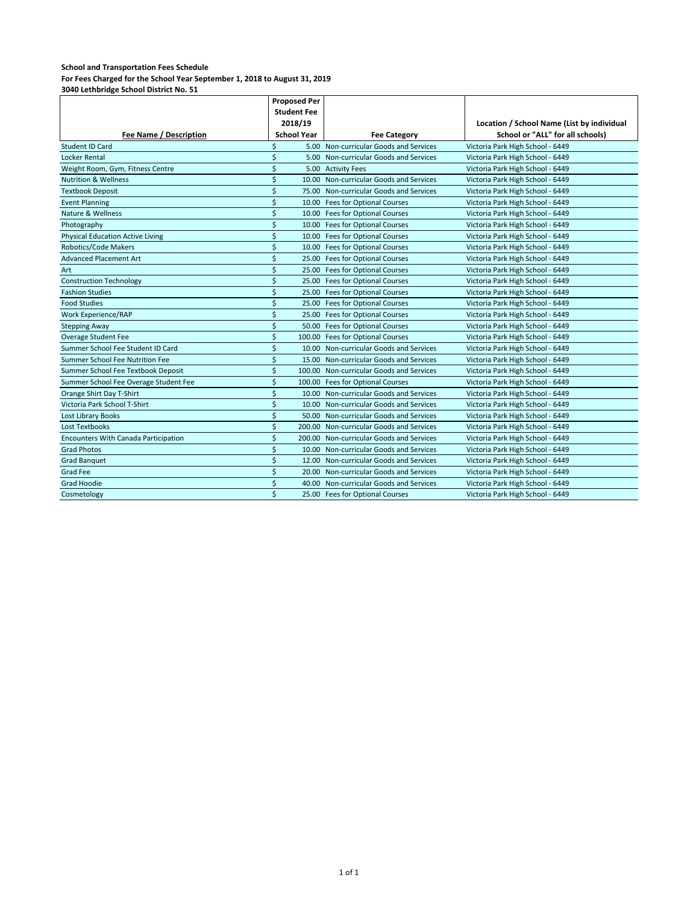**For Fees Charged for the School Year September 1, 2018 to August 31, 2019**

|                                             | <b>Proposed Per</b> |  |                                          |                                            |
|---------------------------------------------|---------------------|--|------------------------------------------|--------------------------------------------|
|                                             | <b>Student Fee</b>  |  |                                          |                                            |
|                                             | 2018/19             |  |                                          | Location / School Name (List by individual |
| <b>Fee Name / Description</b>               | <b>School Year</b>  |  | <b>Fee Category</b>                      | School or "ALL" for all schools)           |
| Student ID Card                             | Ś                   |  | 5.00 Non-curricular Goods and Services   | Victoria Park High School - 6449           |
| Locker Rental                               | \$                  |  | 5.00 Non-curricular Goods and Services   | Victoria Park High School - 6449           |
| Weight Room, Gym, Fitness Centre            | Ś                   |  | 5.00 Activity Fees                       | Victoria Park High School - 6449           |
| <b>Nutrition &amp; Wellness</b>             | \$                  |  | 10.00 Non-curricular Goods and Services  | Victoria Park High School - 6449           |
| <b>Textbook Deposit</b>                     | \$                  |  | 75.00 Non-curricular Goods and Services  | Victoria Park High School - 6449           |
| <b>Event Planning</b>                       | \$                  |  | 10.00 Fees for Optional Courses          | Victoria Park High School - 6449           |
| Nature & Wellness                           | \$                  |  | 10.00 Fees for Optional Courses          | Victoria Park High School - 6449           |
| Photography                                 | \$                  |  | 10.00 Fees for Optional Courses          | Victoria Park High School - 6449           |
| <b>Physical Education Active Living</b>     | \$                  |  | 10.00 Fees for Optional Courses          | Victoria Park High School - 6449           |
| Robotics/Code Makers                        | \$                  |  | 10.00 Fees for Optional Courses          | Victoria Park High School - 6449           |
| <b>Advanced Placement Art</b>               | \$                  |  | 25.00 Fees for Optional Courses          | Victoria Park High School - 6449           |
| Art                                         | \$                  |  | 25.00 Fees for Optional Courses          | Victoria Park High School - 6449           |
| <b>Construction Technology</b>              | \$                  |  | 25.00 Fees for Optional Courses          | Victoria Park High School - 6449           |
| <b>Fashion Studies</b>                      | \$                  |  | 25.00 Fees for Optional Courses          | Victoria Park High School - 6449           |
| <b>Food Studies</b>                         | \$                  |  | 25.00 Fees for Optional Courses          | Victoria Park High School - 6449           |
| Work Experience/RAP                         | \$                  |  | 25.00 Fees for Optional Courses          | Victoria Park High School - 6449           |
| <b>Stepping Away</b>                        | \$                  |  | 50.00 Fees for Optional Courses          | Victoria Park High School - 6449           |
| Overage Student Fee                         | \$                  |  | 100.00 Fees for Optional Courses         | Victoria Park High School - 6449           |
| Summer School Fee Student ID Card           | \$                  |  | 10.00 Non-curricular Goods and Services  | Victoria Park High School - 6449           |
| Summer School Fee Nutrition Fee             | \$                  |  | 15.00 Non-curricular Goods and Services  | Victoria Park High School - 6449           |
| Summer School Fee Textbook Deposit          | \$                  |  | 100.00 Non-curricular Goods and Services | Victoria Park High School - 6449           |
| Summer School Fee Overage Student Fee       | \$                  |  | 100.00 Fees for Optional Courses         | Victoria Park High School - 6449           |
| Orange Shirt Day T-Shirt                    | \$                  |  | 10.00 Non-curricular Goods and Services  | Victoria Park High School - 6449           |
| Victoria Park School T-Shirt                | \$                  |  | 10.00 Non-curricular Goods and Services  | Victoria Park High School - 6449           |
| <b>Lost Library Books</b>                   | \$                  |  | 50.00 Non-curricular Goods and Services  | Victoria Park High School - 6449           |
| Lost Textbooks                              | \$                  |  | 200.00 Non-curricular Goods and Services | Victoria Park High School - 6449           |
| <b>Encounters With Canada Participation</b> | \$                  |  | 200.00 Non-curricular Goods and Services | Victoria Park High School - 6449           |
| <b>Grad Photos</b>                          | \$                  |  | 10.00 Non-curricular Goods and Services  | Victoria Park High School - 6449           |
| <b>Grad Banquet</b>                         | \$                  |  | 12.00 Non-curricular Goods and Services  | Victoria Park High School - 6449           |
| <b>Grad Fee</b>                             | \$                  |  | 20.00 Non-curricular Goods and Services  | Victoria Park High School - 6449           |
| <b>Grad Hoodie</b>                          | \$                  |  | 40.00 Non-curricular Goods and Services  | Victoria Park High School - 6449           |
| Cosmetology                                 | $\dot{\mathsf{S}}$  |  | 25.00 Fees for Optional Courses          | Victoria Park High School - 6449           |